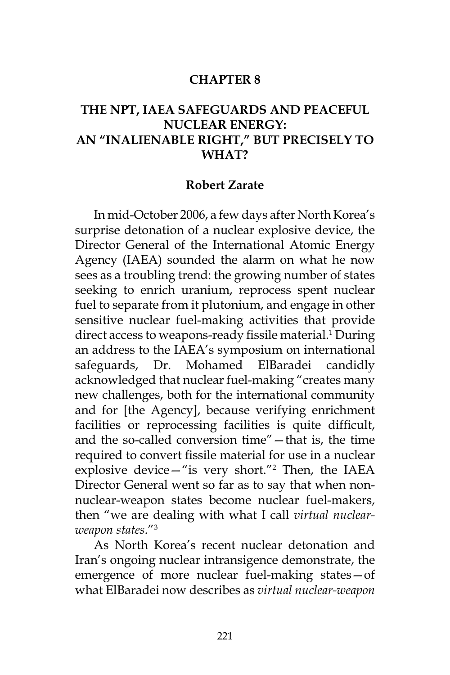#### **CHAPTER 8**

## **THE NPT, IAEA SAFEGUARDS AND PEACEFUL NUCLEAR ENERGY: AN "INALIENABLE RIGHT," BUT PRECISELY TO WHAT?**

#### **Robert Zarate**

In mid-October 2006, a few days after North Korea's surprise detonation of a nuclear explosive device, the Director General of the International Atomic Energy Agency (IAEA) sounded the alarm on what he now sees as a troubling trend: the growing number of states seeking to enrich uranium, reprocess spent nuclear fuel to separate from it plutonium, and engage in other sensitive nuclear fuel-making activities that provide direct access to weapons-ready fissile material.<sup>1</sup> During an address to the IAEA's symposium on international safeguards, Dr. Mohamed ElBaradei candidly acknowledged that nuclear fuel-making "creates many new challenges, both for the international community and for [the Agency], because verifying enrichment facilities or reprocessing facilities is quite difficult, and the so-called conversion time"—that is, the time required to convert fissile material for use in a nuclear explosive device—"is very short."2 Then, the IAEA Director General went so far as to say that when nonnuclear-weapon states become nuclear fuel-makers, then "we are dealing with what I call *virtual nuclearweapon states*."3

As North Korea's recent nuclear detonation and Iran's ongoing nuclear intransigence demonstrate, the emergence of more nuclear fuel-making states—of what ElBaradei now describes as *virtual nuclear-weapon*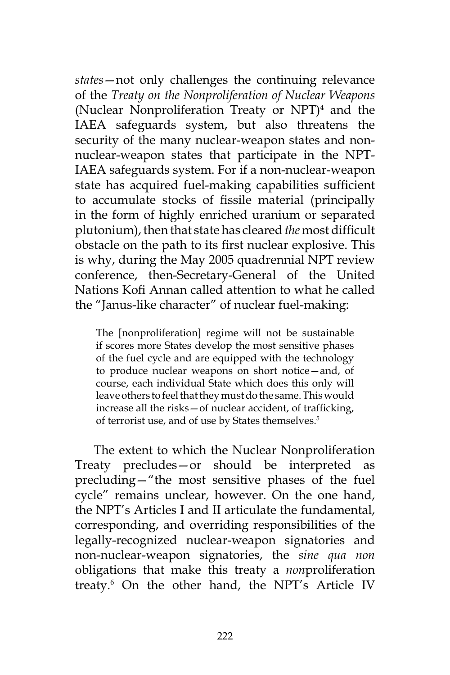*states*—not only challenges the continuing relevance of the *Treaty on the Nonproliferation of Nuclear Weapons* (Nuclear Nonproliferation Treaty or NPT)4 and the IAEA safeguards system, but also threatens the security of the many nuclear-weapon states and nonnuclear-weapon states that participate in the NPT-IAEA safeguards system. For if a non-nuclear-weapon state has acquired fuel-making capabilities sufficient to accumulate stocks of fissile material (principally in the form of highly enriched uranium or separated plutonium), then that state has cleared *the* most difficult obstacle on the path to its first nuclear explosive. This is why, during the May 2005 quadrennial NPT review conference, then-Secretary-General of the United Nations Kofi Annan called attention to what he called the "Janus-like character" of nuclear fuel-making:

The [nonproliferation] regime will not be sustainable if scores more States develop the most sensitive phases of the fuel cycle and are equipped with the technology to produce nuclear weapons on short notice—and, of course, each individual State which does this only will leave others to feel that they must do the same. This would increase all the risks—of nuclear accident, of trafficking, of terrorist use, and of use by States themselves.<sup>5</sup>

The extent to which the Nuclear Nonproliferation Treaty precludes—or should be interpreted as precluding—"the most sensitive phases of the fuel cycle" remains unclear, however. On the one hand, the NPT's Articles I and II articulate the fundamental, corresponding, and overriding responsibilities of the legally-recognized nuclear-weapon signatories and non-nuclear-weapon signatories, the *sine qua non*  obligations that make this treaty a *non*proliferation treaty.6 On the other hand, the NPT's Article IV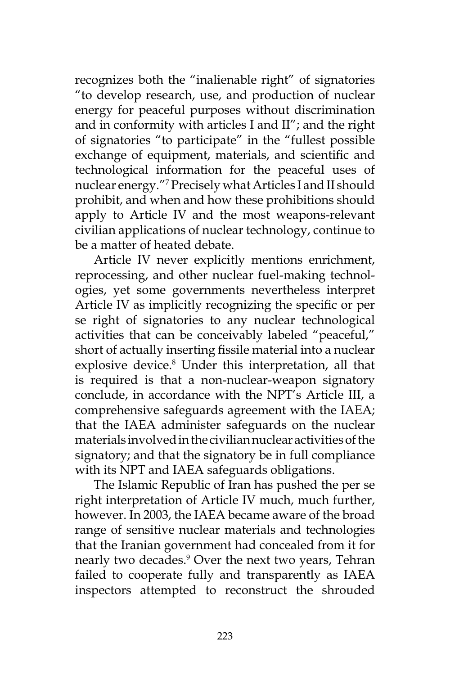recognizes both the "inalienable right" of signatories "to develop research, use, and production of nuclear energy for peaceful purposes without discrimination and in conformity with articles I and II"; and the right of signatories "to participate" in the "fullest possible exchange of equipment, materials, and scientific and technological information for the peaceful uses of nuclear energy."7 Precisely what Articles I and II should prohibit, and when and how these prohibitions should apply to Article IV and the most weapons-relevant civilian applications of nuclear technology, continue to be a matter of heated debate.

Article IV never explicitly mentions enrichment, reprocessing, and other nuclear fuel-making technologies, yet some governments nevertheless interpret Article IV as implicitly recognizing the specific or per se right of signatories to any nuclear technological activities that can be conceivably labeled "peaceful," short of actually inserting fissile material into a nuclear explosive device.<sup>8</sup> Under this interpretation, all that is required is that a non-nuclear-weapon signatory conclude, in accordance with the NPT's Article III, a comprehensive safeguards agreement with the IAEA; that the IAEA administer safeguards on the nuclear materials involved in the civilian nuclear activities of the signatory; and that the signatory be in full compliance with its NPT and IAEA safeguards obligations.

The Islamic Republic of Iran has pushed the per se right interpretation of Article IV much, much further, however. In 2003, the IAEA became aware of the broad range of sensitive nuclear materials and technologies that the Iranian government had concealed from it for nearly two decades.<sup>9</sup> Over the next two years, Tehran failed to cooperate fully and transparently as IAEA inspectors attempted to reconstruct the shrouded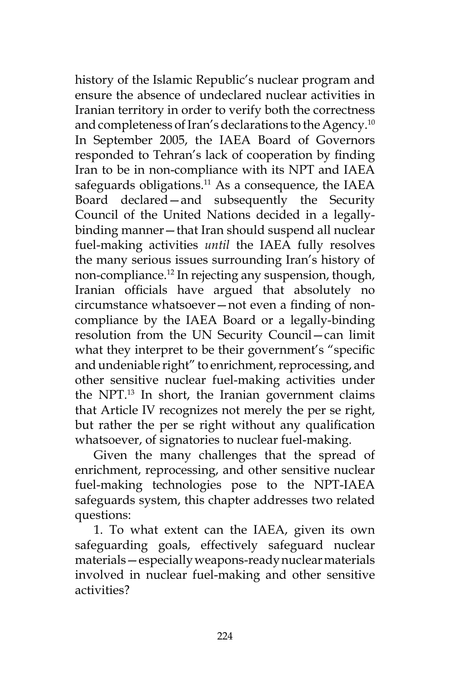history of the Islamic Republic's nuclear program and ensure the absence of undeclared nuclear activities in Iranian territory in order to verify both the correctness and completeness of Iran's declarations to the Agency.10 In September 2005, the IAEA Board of Governors responded to Tehran's lack of cooperation by finding Iran to be in non-compliance with its NPT and IAEA safeguards obligations. $11$  As a consequence, the IAEA Board declared—and subsequently the Security Council of the United Nations decided in a legallybinding manner—that Iran should suspend all nuclear fuel-making activities *until* the IAEA fully resolves the many serious issues surrounding Iran's history of non-compliance.12 In rejecting any suspension, though, Iranian officials have argued that absolutely no circumstance whatsoever—not even a finding of noncompliance by the IAEA Board or a legally-binding resolution from the UN Security Council—can limit what they interpret to be their government's "specific and undeniable right" to enrichment, reprocessing, and other sensitive nuclear fuel-making activities under the NPT. $13$  In short, the Iranian government claims that Article IV recognizes not merely the per se right, but rather the per se right without any qualification whatsoever, of signatories to nuclear fuel-making.

Given the many challenges that the spread of enrichment, reprocessing, and other sensitive nuclear fuel-making technologies pose to the NPT-IAEA safeguards system, this chapter addresses two related questions:

1. To what extent can the IAEA, given its own safeguarding goals, effectively safeguard nuclear materials—especially weapons-ready nuclear materials involved in nuclear fuel-making and other sensitive activities?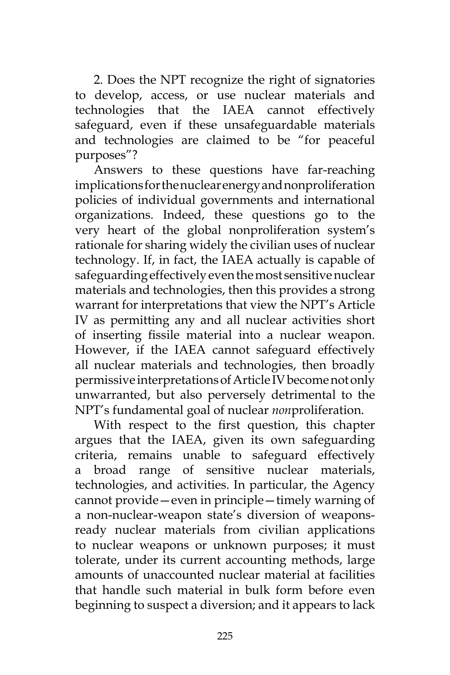2. Does the NPT recognize the right of signatories to develop, access, or use nuclear materials and technologies that the IAEA cannot effectively safeguard, even if these unsafeguardable materials and technologies are claimed to be "for peaceful purposes"?

Answers to these questions have far-reaching implications for the nuclear energy and nonproliferation policies of individual governments and international organizations. Indeed, these questions go to the very heart of the global nonproliferation system's rationale for sharing widely the civilian uses of nuclear technology. If, in fact, the IAEA actually is capable of safeguarding effectively even the most sensitive nuclear materials and technologies, then this provides a strong warrant for interpretations that view the NPT's Article IV as permitting any and all nuclear activities short of inserting fissile material into a nuclear weapon. However, if the IAEA cannot safeguard effectively all nuclear materials and technologies, then broadly permissive interpretations of Article IV become not only unwarranted, but also perversely detrimental to the NPT's fundamental goal of nuclear *non*proliferation.

With respect to the first question, this chapter argues that the IAEA, given its own safeguarding criteria, remains unable to safeguard effectively a broad range of sensitive nuclear materials, technologies, and activities. In particular, the Agency cannot provide—even in principle—timely warning of a non-nuclear-weapon state's diversion of weaponsready nuclear materials from civilian applications to nuclear weapons or unknown purposes; it must tolerate, under its current accounting methods, large amounts of unaccounted nuclear material at facilities that handle such material in bulk form before even beginning to suspect a diversion; and it appears to lack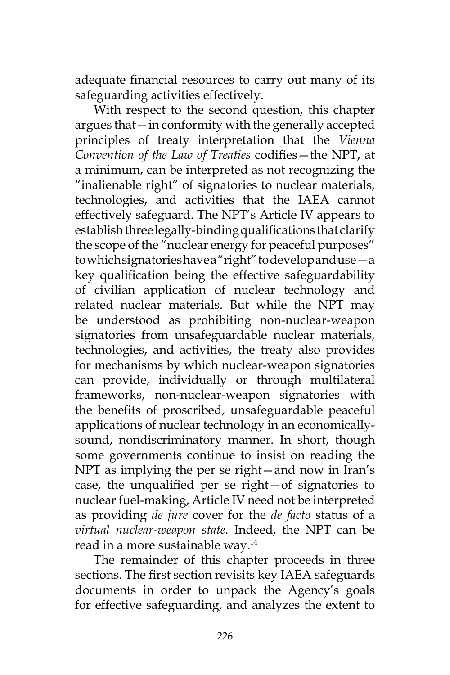adequate financial resources to carry out many of its safeguarding activities effectively.

With respect to the second question, this chapter argues that—in conformity with the generally accepted principles of treaty interpretation that the *Vienna Convention of the Law of Treaties* codifies—the NPT, at a minimum, can be interpreted as not recognizing the "inalienable right" of signatories to nuclear materials, technologies, and activities that the IAEA cannot effectively safeguard. The NPT's Article IV appears to establish three legally-binding qualifications that clarify the scope of the "nuclear energy for peaceful purposes" to which signatories have a "right" to develop and use - a key qualification being the effective safeguardability of civilian application of nuclear technology and related nuclear materials. But while the NPT may be understood as prohibiting non-nuclear-weapon signatories from unsafeguardable nuclear materials, technologies, and activities, the treaty also provides for mechanisms by which nuclear-weapon signatories can provide, individually or through multilateral frameworks, non-nuclear-weapon signatories with the benefits of proscribed, unsafeguardable peaceful applications of nuclear technology in an economicallysound, nondiscriminatory manner. In short, though some governments continue to insist on reading the NPT as implying the per se right—and now in Iran's case, the unqualified per se right—of signatories to nuclear fuel-making, Article IV need not be interpreted as providing *de jure* cover for the *de facto* status of a *virtual nuclear-weapon state*. Indeed, the NPT can be read in a more sustainable way.14

The remainder of this chapter proceeds in three sections. The first section revisits key IAEA safeguards documents in order to unpack the Agency's goals for effective safeguarding, and analyzes the extent to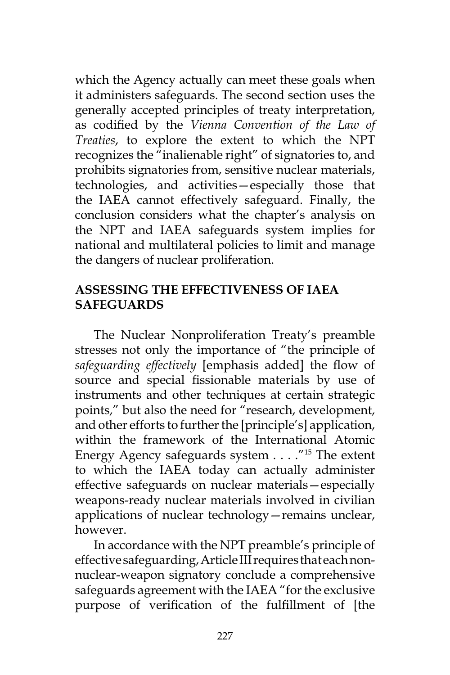which the Agency actually can meet these goals when it administers safeguards. The second section uses the generally accepted principles of treaty interpretation, as codified by the *Vienna Convention of the Law of Treaties*, to explore the extent to which the NPT recognizes the "inalienable right" of signatories to, and prohibits signatories from, sensitive nuclear materials, technologies, and activities—especially those that the IAEA cannot effectively safeguard. Finally, the conclusion considers what the chapter's analysis on the NPT and IAEA safeguards system implies for national and multilateral policies to limit and manage the dangers of nuclear proliferation.

## **ASSESSING THE EFFECTIVENESS OF IAEA SAFEGUARDS**

The Nuclear Nonproliferation Treaty's preamble stresses not only the importance of "the principle of *safeguarding effectively* [emphasis added] the flow of source and special fissionable materials by use of instruments and other techniques at certain strategic points," but also the need for "research, development, and other efforts to further the [principle's] application, within the framework of the International Atomic Energy Agency safeguards system . . . ."15 The extent to which the IAEA today can actually administer effective safeguards on nuclear materials—especially weapons-ready nuclear materials involved in civilian applications of nuclear technology—remains unclear, however.

In accordance with the NPT preamble's principle of effective safeguarding, Article III requires that each nonnuclear-weapon signatory conclude a comprehensive safeguards agreement with the IAEA "for the exclusive purpose of verification of the fulfillment of [the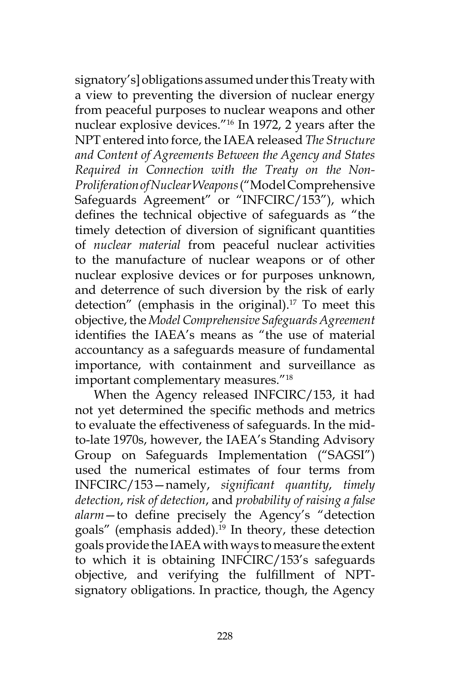signatory's] obligations assumed under this Treaty with a view to preventing the diversion of nuclear energy from peaceful purposes to nuclear weapons and other nuclear explosive devices."16 In 1972, 2 years after the NPT entered into force, the IAEA released *The Structure and Content of Agreements Between the Agency and States Required in Connection with the Treaty on the Non-Proliferation of Nuclear Weapons* ("Model Comprehensive Safeguards Agreement" or "INFCIRC/153"), which defines the technical objective of safeguards as "the timely detection of diversion of significant quantities of *nuclear material* from peaceful nuclear activities to the manufacture of nuclear weapons or of other nuclear explosive devices or for purposes unknown, and deterrence of such diversion by the risk of early detection" (emphasis in the original).<sup>17</sup> To meet this objective, the *Model Comprehensive Safeguards Agreement* identifies the IAEA's means as "the use of material accountancy as a safeguards measure of fundamental importance, with containment and surveillance as important complementary measures."18

When the Agency released INFCIRC/153, it had not yet determined the specific methods and metrics to evaluate the effectiveness of safeguards. In the midto-late 1970s, however, the IAEA's Standing Advisory Group on Safeguards Implementation ("SAGSI") used the numerical estimates of four terms from INFCIRC/153—namely, *significant quantity*, *timely detection*, *risk of detection*, and *probability of raising a false alarm*—to define precisely the Agency's "detection goals" (emphasis added).<sup>19</sup> In theory, these detection goals provide the IAEA with ways to measure the extent to which it is obtaining INFCIRC/153's safeguards objective, and verifying the fulfillment of NPTsignatory obligations. In practice, though, the Agency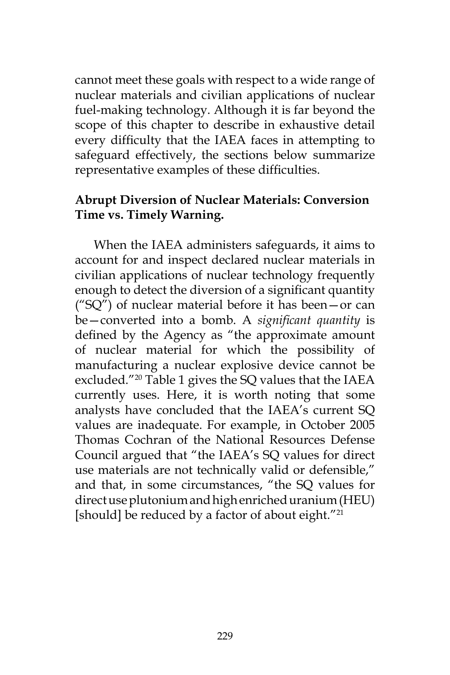cannot meet these goals with respect to a wide range of nuclear materials and civilian applications of nuclear fuel-making technology. Although it is far beyond the scope of this chapter to describe in exhaustive detail every difficulty that the IAEA faces in attempting to safeguard effectively, the sections below summarize representative examples of these difficulties.

#### **Abrupt Diversion of Nuclear Materials: Conversion Time vs. Timely Warning.**

When the IAEA administers safeguards, it aims to account for and inspect declared nuclear materials in civilian applications of nuclear technology frequently enough to detect the diversion of a significant quantity ("SQ") of nuclear material before it has been—or can be—converted into a bomb. A *significant quantity* is defined by the Agency as "the approximate amount of nuclear material for which the possibility of manufacturing a nuclear explosive device cannot be excluded."20 Table 1 gives the SQ values that the IAEA currently uses. Here, it is worth noting that some analysts have concluded that the IAEA's current SQ values are inadequate. For example, in October 2005 Thomas Cochran of the National Resources Defense Council argued that "the IAEA's SQ values for direct use materials are not technically valid or defensible," and that, in some circumstances, "the SQ values for direct use plutonium and high enriched uranium (HEU) [should] be reduced by a factor of about eight."<sup>21</sup>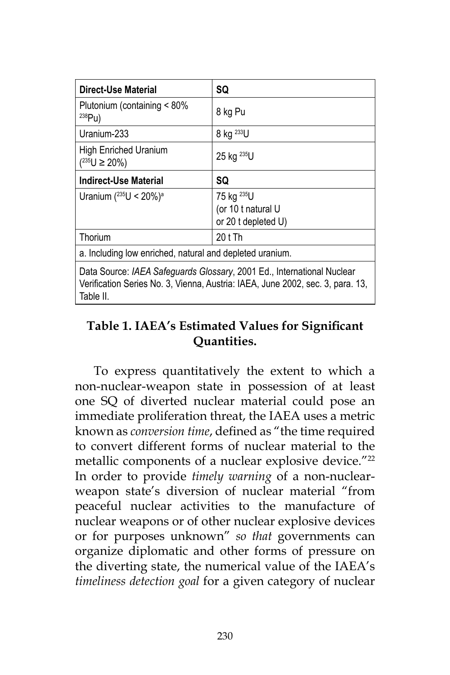| Direct-Use Material                                                                                                                                                   | SQ                                                                  |  |  |
|-----------------------------------------------------------------------------------------------------------------------------------------------------------------------|---------------------------------------------------------------------|--|--|
| Plutonium (containing < 80%<br>$^{238}Pu)$                                                                                                                            | 8 kg Pu                                                             |  |  |
| Uranium-233                                                                                                                                                           | 8 kg <sup>233</sup> U                                               |  |  |
| <b>High Enriched Uranium</b><br>$(235)$ U ≥ 20%)                                                                                                                      | 25 kg <sup>235</sup> U                                              |  |  |
| Indirect-Use Material                                                                                                                                                 | SQ                                                                  |  |  |
| Uranium $(^{235}U < 20\%)^a$                                                                                                                                          | 75 kg <sup>235</sup> U<br>(or 10 t natural U<br>or 20 t depleted U) |  |  |
| Thorium                                                                                                                                                               | 20 t Th                                                             |  |  |
| a. Including low enriched, natural and depleted uranium.                                                                                                              |                                                                     |  |  |
| Data Source: IAEA Safeguards Glossary, 2001 Ed., International Nuclear<br>Verification Series No. 3, Vienna, Austria: IAEA, June 2002, sec. 3, para. 13,<br>Table II. |                                                                     |  |  |

# **Table 1. IAEA's Estimated Values for Significant Quantities.**

To express quantitatively the extent to which a non-nuclear-weapon state in possession of at least one SQ of diverted nuclear material could pose an immediate proliferation threat, the IAEA uses a metric known as *conversion time*, defined as "the time required to convert different forms of nuclear material to the metallic components of a nuclear explosive device."<sup>22</sup> In order to provide *timely warning* of a non-nuclearweapon state's diversion of nuclear material "from peaceful nuclear activities to the manufacture of nuclear weapons or of other nuclear explosive devices or for purposes unknown" *so that* governments can organize diplomatic and other forms of pressure on the diverting state, the numerical value of the IAEA's *timeliness detection goal* for a given category of nuclear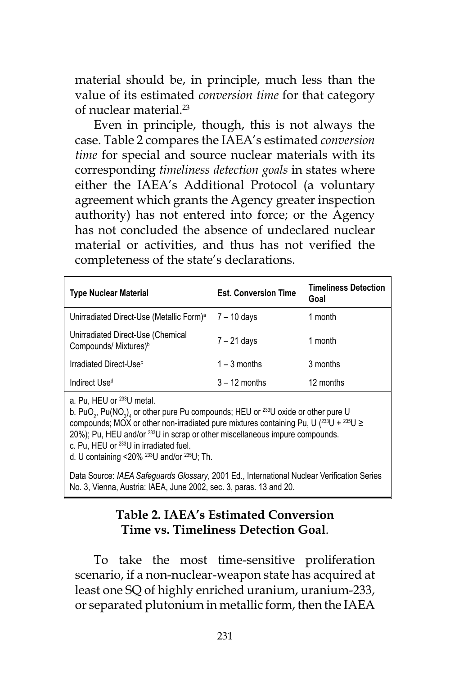material should be, in principle, much less than the value of its estimated *conversion time* for that category of nuclear material.23

Even in principle, though, this is not always the case. Table 2 compares the IAEA's estimated *conversion time* for special and source nuclear materials with its corresponding *timeliness detection goals* in states where either the IAEA's Additional Protocol (a voluntary agreement which grants the Agency greater inspection authority) has not entered into force; or the Agency has not concluded the absence of undeclared nuclear material or activities, and thus has not verified the completeness of the state's declarations.

| <b>Type Nuclear Material</b>                                           | <b>Est. Conversion Time</b> | <b>Timeliness Detection</b><br>Goal |
|------------------------------------------------------------------------|-----------------------------|-------------------------------------|
| Unirradiated Direct-Use (Metallic Form) <sup>a</sup>                   | $7 - 10$ days               | 1 month                             |
| Unirradiated Direct-Use (Chemical<br>Compounds/ Mixtures) <sup>b</sup> | 7 – 21 days                 | 1 month                             |
| Irradiated Direct-Use <sup>c</sup>                                     | $1 - 3$ months              | 3 months                            |
| Indirect Use <sup>d</sup>                                              | $3 - 12$ months             | 12 months                           |

a*.* Pu, HEU or 233U metal.

b. PuO<sub>2</sub>, Pu(NO<sub>3</sub>)<sub>4</sub> or other pure Pu compounds; HEU or <sup>233</sup>U oxide or other pure U compounds; MOX or other non-irradiated pure mixtures containing Pu, U ( $^{233}$ U +  $^{235}$ U  $\ge$ 20%); Pu, HEU and/or <sup>233</sup>U in scrap or other miscellaneous impure compounds. c*.* Pu, HEU or 233U in irradiated fuel. d*.* U containing <20% 233U and/or 235U; Th.

Data Source: *IAEA Safeguards Glossary*, 2001 Ed., International Nuclear Verification Series No. 3, Vienna, Austria: IAEA, June 2002, sec. 3, paras. 13 and 20.

# **Table 2. IAEA's Estimated Conversion Time vs. Timeliness Detection Goal**.

To take the most time-sensitive proliferation scenario, if a non-nuclear-weapon state has acquired at least one SQ of highly enriched uranium, uranium-233, or separated plutonium in metallic form, then the IAEA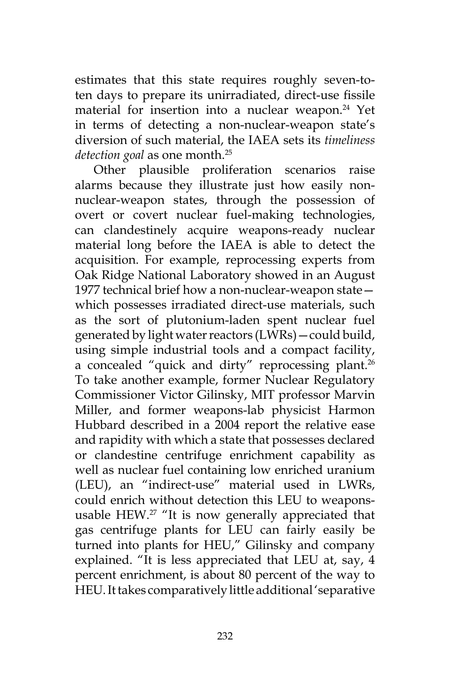estimates that this state requires roughly seven-toten days to prepare its unirradiated, direct-use fissile material for insertion into a nuclear weapon.<sup>24</sup> Yet in terms of detecting a non-nuclear-weapon state's diversion of such material, the IAEA sets its *timeliness detection goal* as one month.25

Other plausible proliferation scenarios raise alarms because they illustrate just how easily nonnuclear-weapon states, through the possession of overt or covert nuclear fuel-making technologies, can clandestinely acquire weapons-ready nuclear material long before the IAEA is able to detect the acquisition. For example, reprocessing experts from Oak Ridge National Laboratory showed in an August 1977 technical brief how a non-nuclear-weapon state which possesses irradiated direct-use materials, such as the sort of plutonium-laden spent nuclear fuel generated by light water reactors (LWRs)—could build, using simple industrial tools and a compact facility, a concealed "quick and dirty" reprocessing plant.<sup>26</sup> To take another example, former Nuclear Regulatory Commissioner Victor Gilinsky, MIT professor Marvin Miller, and former weapons-lab physicist Harmon Hubbard described in a 2004 report the relative ease and rapidity with which a state that possesses declared or clandestine centrifuge enrichment capability as well as nuclear fuel containing low enriched uranium (LEU), an "indirect-use" material used in LWRs, could enrich without detection this LEU to weaponsusable HEW.<sup>27</sup> "It is now generally appreciated that gas centrifuge plants for LEU can fairly easily be turned into plants for HEU," Gilinsky and company explained. "It is less appreciated that LEU at, say, 4 percent enrichment, is about 80 percent of the way to HEU. It takes comparatively little additional 'separative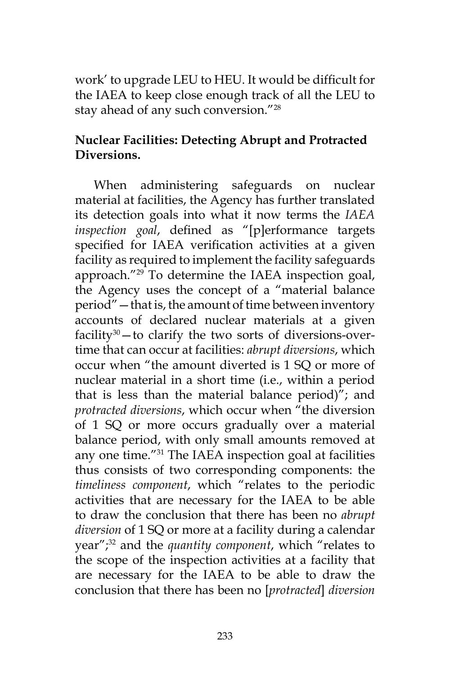work' to upgrade LEU to HEU. It would be difficult for the IAEA to keep close enough track of all the LEU to stay ahead of any such conversion."28

# **Nuclear Facilities: Detecting Abrupt and Protracted Diversions.**

When administering safeguards on nuclear material at facilities, the Agency has further translated its detection goals into what it now terms the *IAEA inspection goal*, defined as "[p]erformance targets specified for IAEA verification activities at a given facility as required to implement the facility safeguards approach."<sup>29</sup> To determine the IAEA inspection goal, the Agency uses the concept of a "material balance period"—that is, the amount of time between inventory accounts of declared nuclear materials at a given  $facility<sup>30</sup> - to clarify the two sorts of diversions-over$ time that can occur at facilities: *abrupt diversions*, which occur when "the amount diverted is 1 SQ or more of nuclear material in a short time (i.e., within a period that is less than the material balance period)"; and *protracted diversions*, which occur when "the diversion of 1 SQ or more occurs gradually over a material balance period, with only small amounts removed at any one time."31 The IAEA inspection goal at facilities thus consists of two corresponding components: the *timeliness component*, which "relates to the periodic activities that are necessary for the IAEA to be able to draw the conclusion that there has been no *abrupt diversion* of 1 SQ or more at a facility during a calendar year";32 and the *quantity component*, which "relates to the scope of the inspection activities at a facility that are necessary for the IAEA to be able to draw the conclusion that there has been no [*protracted*] *diversion*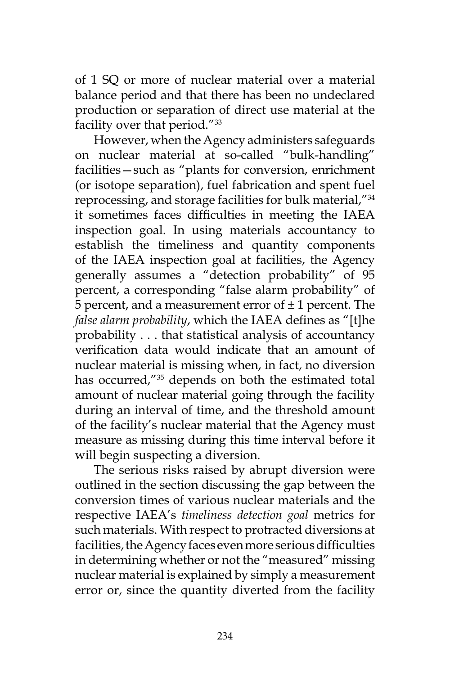of 1 SQ or more of nuclear material over a material balance period and that there has been no undeclared production or separation of direct use material at the facility over that period."33

However, when the Agency administers safeguards on nuclear material at so-called "bulk-handling" facilities—such as "plants for conversion, enrichment (or isotope separation), fuel fabrication and spent fuel reprocessing, and storage facilities for bulk material,"34 it sometimes faces difficulties in meeting the IAEA inspection goal. In using materials accountancy to establish the timeliness and quantity components of the IAEA inspection goal at facilities, the Agency generally assumes a "detection probability" of 95 percent, a corresponding "false alarm probability" of 5 percent, and a measurement error of  $\pm$  1 percent. The *false alarm probability*, which the IAEA defines as "[t]he probability . . . that statistical analysis of accountancy verification data would indicate that an amount of nuclear material is missing when, in fact, no diversion has occurred,"35 depends on both the estimated total amount of nuclear material going through the facility during an interval of time, and the threshold amount of the facility's nuclear material that the Agency must measure as missing during this time interval before it will begin suspecting a diversion.

The serious risks raised by abrupt diversion were outlined in the section discussing the gap between the conversion times of various nuclear materials and the respective IAEA's *timeliness detection goal* metrics for such materials. With respect to protracted diversions at facilities, the Agency faces even more serious difficulties in determining whether or not the "measured" missing nuclear material is explained by simply a measurement error or, since the quantity diverted from the facility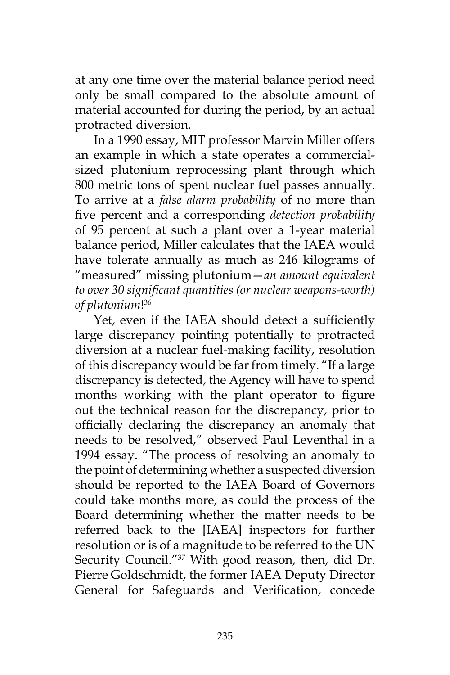at any one time over the material balance period need only be small compared to the absolute amount of material accounted for during the period, by an actual protracted diversion.

In a 1990 essay, MIT professor Marvin Miller offers an example in which a state operates a commercialsized plutonium reprocessing plant through which 800 metric tons of spent nuclear fuel passes annually. To arrive at a *false alarm probability* of no more than five percent and a corresponding *detection probability*  of 95 percent at such a plant over a 1-year material balance period, Miller calculates that the IAEA would have tolerate annually as much as 246 kilograms of "measured" missing plutonium—*an amount equivalent to over 30 significant quantities (or nuclear weapons-worth) of plutonium*! 36

Yet, even if the IAEA should detect a sufficiently large discrepancy pointing potentially to protracted diversion at a nuclear fuel-making facility, resolution of this discrepancy would be far from timely. "If a large discrepancy is detected, the Agency will have to spend months working with the plant operator to figure out the technical reason for the discrepancy, prior to officially declaring the discrepancy an anomaly that needs to be resolved," observed Paul Leventhal in a 1994 essay. "The process of resolving an anomaly to the point of determining whether a suspected diversion should be reported to the IAEA Board of Governors could take months more, as could the process of the Board determining whether the matter needs to be referred back to the [IAEA] inspectors for further resolution or is of a magnitude to be referred to the UN Security Council."37 With good reason, then, did Dr. Pierre Goldschmidt, the former IAEA Deputy Director General for Safeguards and Verification, concede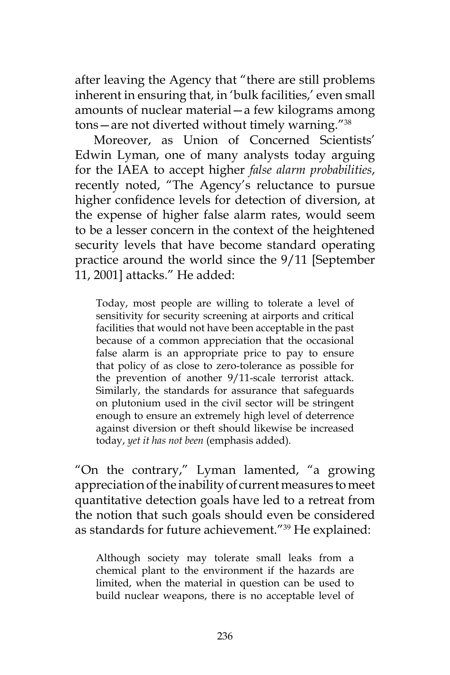after leaving the Agency that "there are still problems inherent in ensuring that, in 'bulk facilities,' even small amounts of nuclear material—a few kilograms among tons—are not diverted without timely warning."38

Moreover, as Union of Concerned Scientists' Edwin Lyman, one of many analysts today arguing for the IAEA to accept higher *false alarm probabilities*, recently noted, "The Agency's reluctance to pursue higher confidence levels for detection of diversion, at the expense of higher false alarm rates, would seem to be a lesser concern in the context of the heightened security levels that have become standard operating practice around the world since the 9/11 [September 11, 2001] attacks." He added:

Today, most people are willing to tolerate a level of sensitivity for security screening at airports and critical facilities that would not have been acceptable in the past because of a common appreciation that the occasional false alarm is an appropriate price to pay to ensure that policy of as close to zero-tolerance as possible for the prevention of another 9/11-scale terrorist attack. Similarly, the standards for assurance that safeguards on plutonium used in the civil sector will be stringent enough to ensure an extremely high level of deterrence against diversion or theft should likewise be increased today, *yet it has not been* (emphasis added)*.*

"On the contrary," Lyman lamented, "a growing appreciation of the inability of current measures to meet quantitative detection goals have led to a retreat from the notion that such goals should even be considered as standards for future achievement."39 He explained:

Although society may tolerate small leaks from a chemical plant to the environment if the hazards are limited, when the material in question can be used to build nuclear weapons, there is no acceptable level of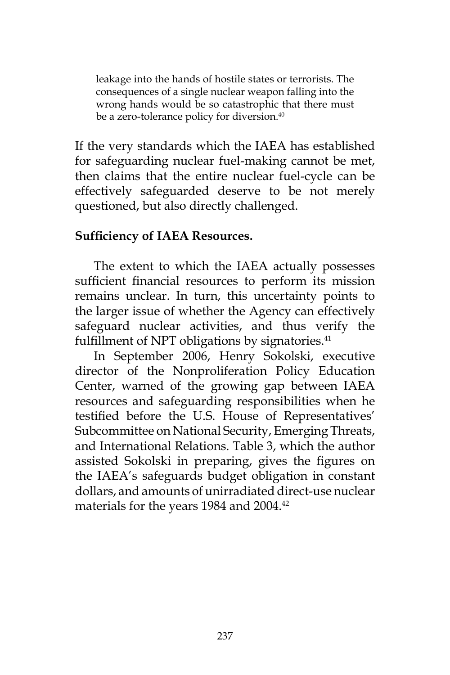leakage into the hands of hostile states or terrorists. The consequences of a single nuclear weapon falling into the wrong hands would be so catastrophic that there must be a zero-tolerance policy for diversion.<sup>40</sup>

If the very standards which the IAEA has established for safeguarding nuclear fuel-making cannot be met, then claims that the entire nuclear fuel-cycle can be effectively safeguarded deserve to be not merely questioned, but also directly challenged.

#### **Sufficiency of IAEA Resources.**

The extent to which the IAEA actually possesses sufficient financial resources to perform its mission remains unclear. In turn, this uncertainty points to the larger issue of whether the Agency can effectively safeguard nuclear activities, and thus verify the fulfillment of NPT obligations by signatories.<sup>41</sup>

In September 2006, Henry Sokolski, executive director of the Nonproliferation Policy Education Center, warned of the growing gap between IAEA resources and safeguarding responsibilities when he testified before the U.S. House of Representatives' Subcommittee on National Security, Emerging Threats, and International Relations. Table 3, which the author assisted Sokolski in preparing, gives the figures on the IAEA's safeguards budget obligation in constant dollars, and amounts of unirradiated direct-use nuclear materials for the years 1984 and 2004.<sup>42</sup>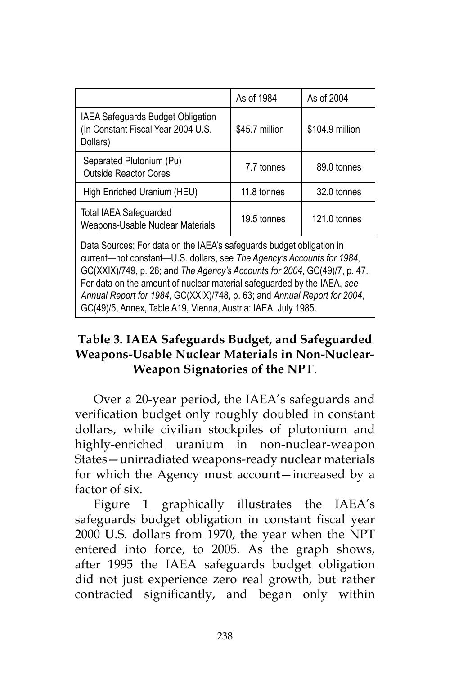|                                                                                                                                                                                                                                                                                                                                                                                                                                                     | As of 1984     | As of 2004      |  |  |
|-----------------------------------------------------------------------------------------------------------------------------------------------------------------------------------------------------------------------------------------------------------------------------------------------------------------------------------------------------------------------------------------------------------------------------------------------------|----------------|-----------------|--|--|
| IAEA Safeguards Budget Obligation<br>(In Constant Fiscal Year 2004 U.S.<br>Dollars)                                                                                                                                                                                                                                                                                                                                                                 | \$45.7 million | \$104.9 million |  |  |
| Separated Plutonium (Pu)<br><b>Outside Reactor Cores</b>                                                                                                                                                                                                                                                                                                                                                                                            | 7.7 tonnes     | 89.0 tonnes     |  |  |
| High Enriched Uranium (HEU)                                                                                                                                                                                                                                                                                                                                                                                                                         | 11.8 tonnes    | 32.0 tonnes     |  |  |
| Total IAEA Safeguarded<br><b>Weapons-Usable Nuclear Materials</b>                                                                                                                                                                                                                                                                                                                                                                                   | 19.5 tonnes    | 121.0 tonnes    |  |  |
| Data Sources: For data on the IAEA's safeguards budget obligation in<br>current-not constant-U.S. dollars, see The Agency's Accounts for 1984,<br>GC(XXIX)/749, p. 26; and The Agency's Accounts for 2004, GC(49)/7, p. 47.<br>For data on the amount of nuclear material safeguarded by the IAEA, see<br>Annual Report for 1984, GC(XXIX)/748, p. 63; and Annual Report for 2004,<br>GC(49)/5, Annex, Table A19, Vienna, Austria: IAEA, July 1985. |                |                 |  |  |

## **Table 3. IAEA Safeguards Budget, and Safeguarded Weapons-Usable Nuclear Materials in Non-Nuclear-Weapon Signatories of the NPT**.

Over a 20-year period, the IAEA's safeguards and verification budget only roughly doubled in constant dollars, while civilian stockpiles of plutonium and highly-enriched uranium in non-nuclear-weapon States—unirradiated weapons-ready nuclear materials for which the Agency must account—increased by a factor of six.

Figure 1 graphically illustrates the IAEA's safeguards budget obligation in constant fiscal year 2000 U.S. dollars from 1970, the year when the NPT entered into force, to 2005. As the graph shows, after 1995 the IAEA safeguards budget obligation did not just experience zero real growth, but rather contracted significantly, and began only within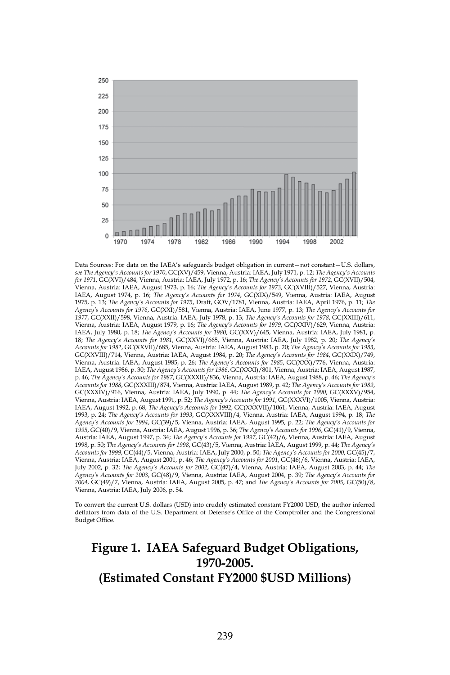

Data Sources: For data on the IAEA's safeguards budget obligation in current—not constant—U.S. dollars, *see The Agency's Accounts for 1970*, GC(XV)/459, Vienna, Austria: IAEA, July 1971, p. 12; *The Agency's Accounts for 1971*, GC(XVI)/484, Vienna, Austria: IAEA, July 1972, p. 16; *The Agency's Accounts for 1972*, GC(XVII)/504, Vienna, Austria: IAEA, August 1973, p. 16; *The Agency's Accounts for 1973*, GC(XVIII)/527, Vienna, Austria: IAEA, August 1974, p. 16; *The Agency's Accounts for 1974*, GC(XIX)/549, Vienna, Austria: IAEA, August 1975, p. 13; *The Agency's Accounts for 1975*, Draft, GOV/1781, Vienna, Austria: IAEA, April 1976, p. 11; *The Agency's Accounts for 1976*, GC(XXI)/581, Vienna, Austria: IAEA, June 1977, p. 13; *The Agency's Accounts for 1977*, GC(XXII)/598, Vienna, Austria: IAEA, July 1978, p. 13; *The Agency's Accounts for 1978*, GC(XXIII)/611, Vienna, Austria: IAEA, August 1979, p. 16; *The Agency's Accounts for 1979*, GC(XXIV)/629, Vienna, Austria: IAEA, July 1980, p. 18; *The Agency's Accounts for 1980*, GC(XXV)/645, Vienna, Austria: IAEA, July 1981, p. 18; *The Agency's Accounts for 1981*, GC(XXVI)/665, Vienna, Austria: IAEA, July 1982, p. 20; *The Agency's Accounts for 1982*, GC(XXVII)/685, Vienna, Austria: IAEA, August 1983, p. 20; *The Agency's Accounts for 1983*, GC(XXVIII)/714, Vienna, Austria: IAEA, August 1984, p. 20; *The Agency's Accounts for 1984*, GC(XXIX)/749, Vienna, Austria: IAEA, August 1985, p. 26; *The Agency's Accounts for 1985*, GC(XXX)/776, Vienna, Austria: IAEA, August 1986, p. 30; *The Agency's Accounts for 1986*, GC(XXXI)/801, Vienna, Austria: IAEA, August 1987, p. 46; *The Agency's Accounts for 1987*, GC(XXXII)/836, Vienna, Austria: IAEA, August 1988, p. 46; *The Agency's Accounts for 1988*, GC(XXXIII)/874, Vienna, Austria: IAEA, August 1989, p. 42; *The Agency's Accounts for 1989*, GC(XXXIV)/916, Vienna, Austria: IAEA, July 1990, p. 44; *The Agency's Accounts for 1990*, GC(XXXV)/954, Vienna, Austria: IAEA, August 1991, p. 52; *The Agency's Accounts for 1991*, GC(XXXVI)/1005, Vienna, Austria: IAEA, August 1992, p. 68; *The Agency's Accounts for 1992*, GC(XXXVII)/1061, Vienna, Austria: IAEA, August 1993, p. 24; *The Agency's Accounts for 1993*, GC(XXXVIII)/4, Vienna, Austria: IAEA, August 1994, p. 18; *The Agency's Accounts for 1994*, GC(39)/5, Vienna, Austria: IAEA, August 1995, p. 22; *The Agency's Accounts for 1995*, GC(40)/9, Vienna, Austria: IAEA, August 1996, p. 36; *The Agency's Accounts for 1996*, GC(41)/9, Vienna, Austria: IAEA, August 1997, p. 34; *The Agency's Accounts for 1997*, GC(42)/6, Vienna, Austria: IAEA, August 1998, p. 50; *The Agency's Accounts for 1998*, GC(43)/5, Vienna, Austria: IAEA, August 1999, p. 44; *The Agency's Accounts for 1999*, GC(44)/5, Vienna, Austria: IAEA, July 2000, p. 50; *The Agency's Accounts for 2000*, GC(45)/7, Vienna, Austria: IAEA, August 2001, p. 46; *The Agency's Accounts for 2001*, GC(46)/6, Vienna, Austria: IAEA, July 2002, p. 32; *The Agency's Accounts for 2002*, GC(47)/4, Vienna, Austria: IAEA, August 2003, p. 44; *The Agency's Accounts for 2003*, GC(48)/9, Vienna, Austria: IAEA, August 2004, p. 39; *The Agency's Accounts for 2004*, GC(49)/7, Vienna, Austria: IAEA, August 2005, p. 47; and *The Agency's Accounts for 2005*, GC(50)/8, Vienna, Austria: IAEA, July 2006, p. 54.

To convert the current U.S. dollars (USD) into crudely estimated constant FY2000 USD, the author inferred deflators from data of the U.S. Department of Defense's Office of the Comptroller and the Congressional Budget Office.

### **Figure 1. IAEA Safeguard Budget Obligations, 1970-2005. (Estimated Constant FY2000 \$USD Millions)**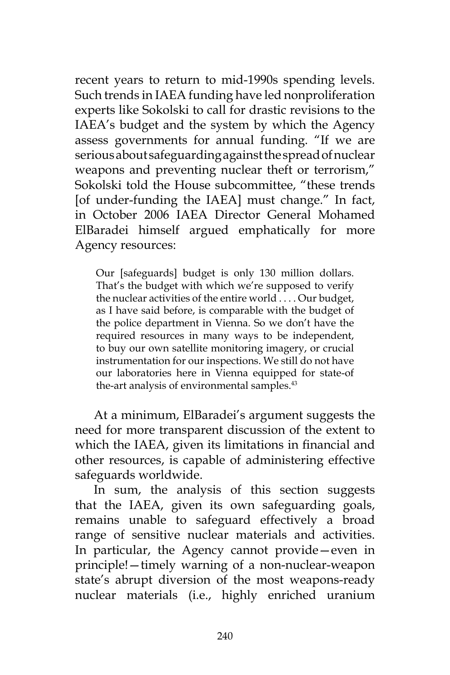recent years to return to mid-1990s spending levels. Such trends in IAEA funding have led nonproliferation experts like Sokolski to call for drastic revisions to the IAEA's budget and the system by which the Agency assess governments for annual funding. "If we are serious about safeguarding against the spread of nuclear weapons and preventing nuclear theft or terrorism," Sokolski told the House subcommittee, "these trends [of under-funding the IAEA] must change." In fact, in October 2006 IAEA Director General Mohamed ElBaradei himself argued emphatically for more Agency resources:

Our [safeguards] budget is only 130 million dollars. That's the budget with which we're supposed to verify the nuclear activities of the entire world . . . . Our budget, as I have said before, is comparable with the budget of the police department in Vienna. So we don't have the required resources in many ways to be independent, to buy our own satellite monitoring imagery, or crucial instrumentation for our inspections. We still do not have our laboratories here in Vienna equipped for state-of the-art analysis of environmental samples.<sup>43</sup>

At a minimum, ElBaradei's argument suggests the need for more transparent discussion of the extent to which the IAEA, given its limitations in financial and other resources, is capable of administering effective safeguards worldwide.

In sum, the analysis of this section suggests that the IAEA, given its own safeguarding goals, remains unable to safeguard effectively a broad range of sensitive nuclear materials and activities. In particular, the Agency cannot provide—even in principle!—timely warning of a non-nuclear-weapon state's abrupt diversion of the most weapons-ready nuclear materials (i.e., highly enriched uranium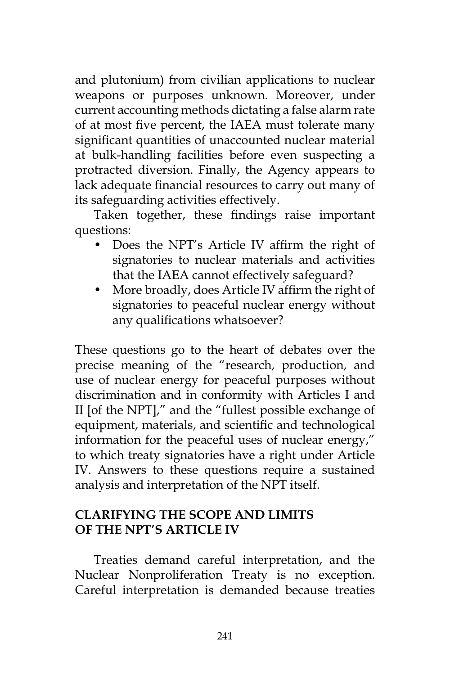and plutonium) from civilian applications to nuclear weapons or purposes unknown. Moreover, under current accounting methods dictating a false alarm rate of at most five percent, the IAEA must tolerate many significant quantities of unaccounted nuclear material at bulk-handling facilities before even suspecting a protracted diversion. Finally, the Agency appears to lack adequate financial resources to carry out many of its safeguarding activities effectively.

Taken together, these findings raise important questions:

- Does the NPT's Article IV affirm the right of signatories to nuclear materials and activities that the IAEA cannot effectively safeguard?
- More broadly, does Article IV affirm the right of signatories to peaceful nuclear energy without any qualifications whatsoever?

These questions go to the heart of debates over the precise meaning of the "research, production, and use of nuclear energy for peaceful purposes without discrimination and in conformity with Articles I and II [of the NPT]," and the "fullest possible exchange of equipment, materials, and scientific and technological information for the peaceful uses of nuclear energy," to which treaty signatories have a right under Article IV. Answers to these questions require a sustained analysis and interpretation of the NPT itself.

# **CLARIFYING THE SCOPE AND LIMITS OF THE NPT'S ARTICLE IV**

Treaties demand careful interpretation, and the Nuclear Nonproliferation Treaty is no exception. Careful interpretation is demanded because treaties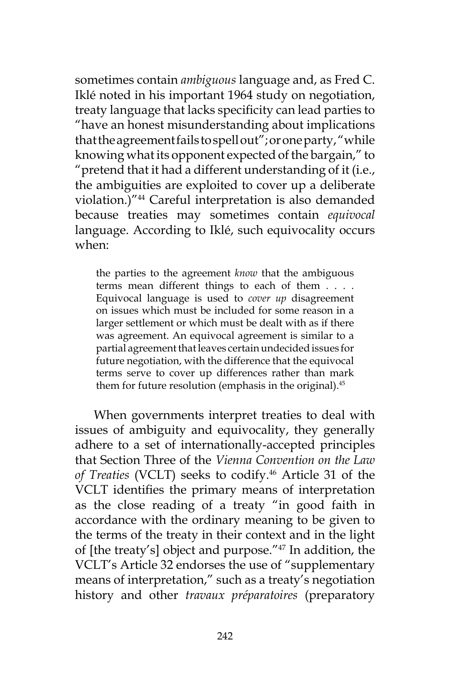sometimes contain *ambiguous* language and, as Fred C. Iklé noted in his important 1964 study on negotiation, treaty language that lacks specificity can lead parties to "have an honest misunderstanding about implications that the agreement fails to spell out"; or one party, "while knowing what its opponent expected of the bargain," to "pretend that it had a different understanding of it (i.e., the ambiguities are exploited to cover up a deliberate violation.)"44 Careful interpretation is also demanded because treaties may sometimes contain *equivocal* language. According to Iklé, such equivocality occurs when:

the parties to the agreement *know* that the ambiguous terms mean different things to each of them . . . . Equivocal language is used to *cover up* disagreement on issues which must be included for some reason in a larger settlement or which must be dealt with as if there was agreement. An equivocal agreement is similar to a partial agreement that leaves certain undecided issues for future negotiation, with the difference that the equivocal terms serve to cover up differences rather than mark them for future resolution (emphasis in the original).<sup>45</sup>

When governments interpret treaties to deal with issues of ambiguity and equivocality, they generally adhere to a set of internationally-accepted principles that Section Three of the *Vienna Convention on the Law of Treaties* (VCLT) seeks to codify.46 Article 31 of the VCLT identifies the primary means of interpretation as the close reading of a treaty "in good faith in accordance with the ordinary meaning to be given to the terms of the treaty in their context and in the light of [the treaty's] object and purpose."47 In addition, the VCLT's Article 32 endorses the use of "supplementary means of interpretation," such as a treaty's negotiation history and other *travaux préparatoires* (preparatory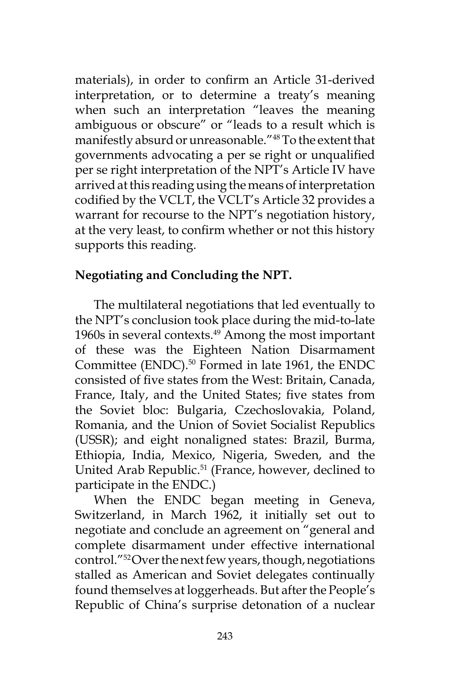materials), in order to confirm an Article 31-derived interpretation, or to determine a treaty's meaning when such an interpretation "leaves the meaning ambiguous or obscure" or "leads to a result which is manifestly absurd or unreasonable."48 To the extent that governments advocating a per se right or unqualified per se right interpretation of the NPT's Article IV have arrived at this reading using the means of interpretation codified by the VCLT, the VCLT's Article 32 provides a warrant for recourse to the NPT's negotiation history, at the very least, to confirm whether or not this history supports this reading.

## **Negotiating and Concluding the NPT.**

The multilateral negotiations that led eventually to the NPT's conclusion took place during the mid-to-late 1960s in several contexts.<sup>49</sup> Among the most important of these was the Eighteen Nation Disarmament Committee (ENDC).<sup>50</sup> Formed in late 1961, the ENDC consisted of five states from the West: Britain, Canada, France, Italy, and the United States; five states from the Soviet bloc: Bulgaria, Czechoslovakia, Poland, Romania, and the Union of Soviet Socialist Republics (USSR); and eight nonaligned states: Brazil, Burma, Ethiopia, India, Mexico, Nigeria, Sweden, and the United Arab Republic.<sup>51</sup> (France, however, declined to participate in the ENDC.)

When the ENDC began meeting in Geneva, Switzerland, in March 1962, it initially set out to negotiate and conclude an agreement on "general and complete disarmament under effective international control."52 Over the next few years, though, negotiations stalled as American and Soviet delegates continually found themselves at loggerheads. But after the People's Republic of China's surprise detonation of a nuclear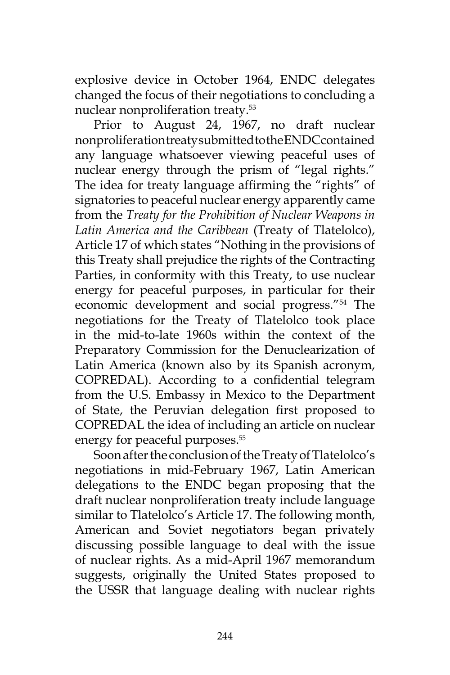explosive device in October 1964, ENDC delegates changed the focus of their negotiations to concluding a nuclear nonproliferation treaty.53

Prior to August 24, 1967, no draft nuclear nonproliferation treaty submitted to the ENDC contained any language whatsoever viewing peaceful uses of nuclear energy through the prism of "legal rights." The idea for treaty language affirming the "rights" of signatories to peaceful nuclear energy apparently came from the *Treaty for the Prohibition of Nuclear Weapons in Latin America and the Caribbean* (Treaty of Tlatelolco), Article 17 of which states "Nothing in the provisions of this Treaty shall prejudice the rights of the Contracting Parties, in conformity with this Treaty, to use nuclear energy for peaceful purposes, in particular for their economic development and social progress."54 The negotiations for the Treaty of Tlatelolco took place in the mid-to-late 1960s within the context of the Preparatory Commission for the Denuclearization of Latin America (known also by its Spanish acronym, COPREDAL). According to a confidential telegram from the U.S. Embassy in Mexico to the Department of State, the Peruvian delegation first proposed to COPREDAL the idea of including an article on nuclear energy for peaceful purposes.<sup>55</sup>

Soon after the conclusion of the Treaty of Tlatelolco's negotiations in mid-February 1967, Latin American delegations to the ENDC began proposing that the draft nuclear nonproliferation treaty include language similar to Tlatelolco's Article 17. The following month, American and Soviet negotiators began privately discussing possible language to deal with the issue of nuclear rights. As a mid-April 1967 memorandum suggests, originally the United States proposed to the USSR that language dealing with nuclear rights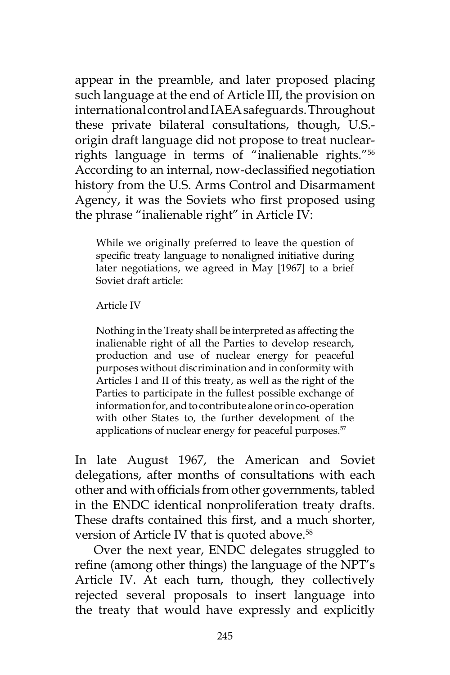appear in the preamble, and later proposed placing such language at the end of Article III, the provision on international control and IAEA safeguards. Throughout these private bilateral consultations, though, U.S. origin draft language did not propose to treat nuclearrights language in terms of "inalienable rights."56 According to an internal, now-declassified negotiation history from the U.S. Arms Control and Disarmament Agency, it was the Soviets who first proposed using the phrase "inalienable right" in Article IV:

While we originally preferred to leave the question of specific treaty language to nonaligned initiative during later negotiations, we agreed in May [1967] to a brief Soviet draft article:

#### Article IV

Nothing in the Treaty shall be interpreted as affecting the inalienable right of all the Parties to develop research, production and use of nuclear energy for peaceful purposes without discrimination and in conformity with Articles I and II of this treaty, as well as the right of the Parties to participate in the fullest possible exchange of information for, and to contribute alone or in co-operation with other States to, the further development of the applications of nuclear energy for peaceful purposes.<sup>57</sup>

In late August 1967, the American and Soviet delegations, after months of consultations with each other and with officials from other governments, tabled in the ENDC identical nonproliferation treaty drafts. These drafts contained this first, and a much shorter, version of Article IV that is quoted above.<sup>58</sup>

Over the next year, ENDC delegates struggled to refine (among other things) the language of the NPT's Article IV. At each turn, though, they collectively rejected several proposals to insert language into the treaty that would have expressly and explicitly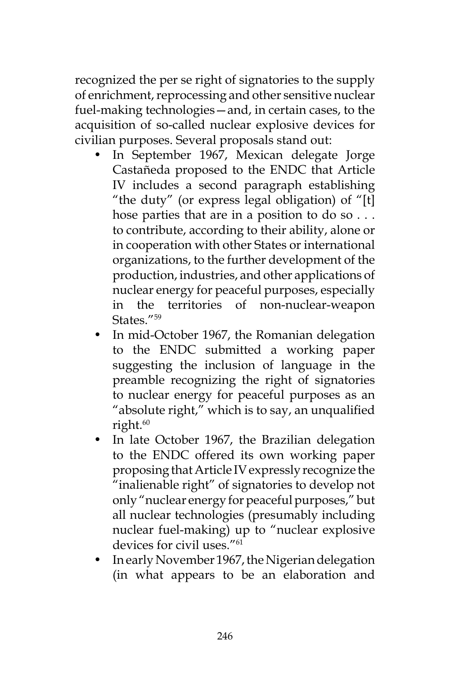recognized the per se right of signatories to the supply of enrichment, reprocessing and other sensitive nuclear fuel-making technologies—and, in certain cases, to the acquisition of so-called nuclear explosive devices for civilian purposes. Several proposals stand out:

- In September 1967, Mexican delegate Jorge Castañeda proposed to the ENDC that Article IV includes a second paragraph establishing "the duty" (or express legal obligation) of "[t] hose parties that are in a position to do so . . . to contribute, according to their ability, alone or in cooperation with other States or international organizations, to the further development of the production, industries, and other applications of nuclear energy for peaceful purposes, especially in the territories of non-nuclear-weapon States."<sup>59</sup>
- In mid-October 1967, the Romanian delegation to the ENDC submitted a working paper suggesting the inclusion of language in the preamble recognizing the right of signatories to nuclear energy for peaceful purposes as an "absolute right," which is to say, an unqualified right.<sup>60</sup>
- In late October 1967, the Brazilian delegation to the ENDC offered its own working paper proposing that Article IV expressly recognize the "inalienable right" of signatories to develop not only "nuclear energy for peaceful purposes," but all nuclear technologies (presumably including nuclear fuel-making) up to "nuclear explosive devices for civil uses."61
- In early November 1967, the Nigerian delegation (in what appears to be an elaboration and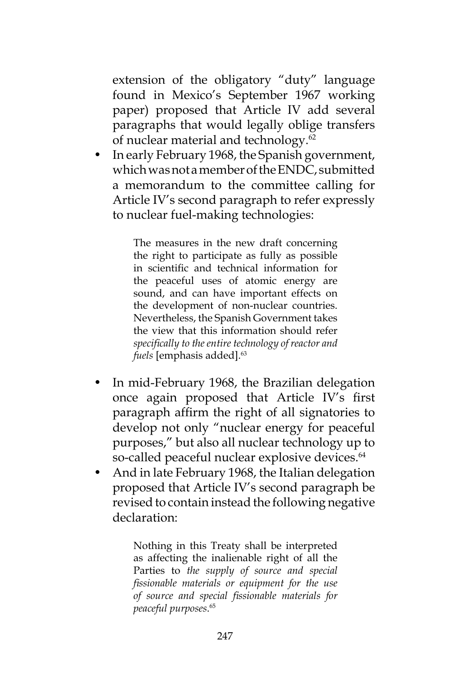extension of the obligatory "duty" language found in Mexico's September 1967 working paper) proposed that Article IV add several paragraphs that would legally oblige transfers of nuclear material and technology.62

• In early February 1968, the Spanish government, which was not a member of the ENDC, submitted a memorandum to the committee calling for Article IV's second paragraph to refer expressly to nuclear fuel-making technologies:

> The measures in the new draft concerning the right to participate as fully as possible in scientific and technical information for the peaceful uses of atomic energy are sound, and can have important effects on the development of non-nuclear countries. Nevertheless, the Spanish Government takes the view that this information should refer *specifically to the entire technology of reactor and fuels* [emphasis added].<sup>63</sup>

- In mid-February 1968, the Brazilian delegation once again proposed that Article IV's first paragraph affirm the right of all signatories to develop not only "nuclear energy for peaceful purposes," but also all nuclear technology up to so-called peaceful nuclear explosive devices.<sup>64</sup>
- And in late February 1968, the Italian delegation proposed that Article IV's second paragraph be revised to contain instead the following negative declaration:

Nothing in this Treaty shall be interpreted as affecting the inalienable right of all the Parties to *the supply of source and special fissionable materials or equipment for the use of source and special fissionable materials for peaceful purposes*. 65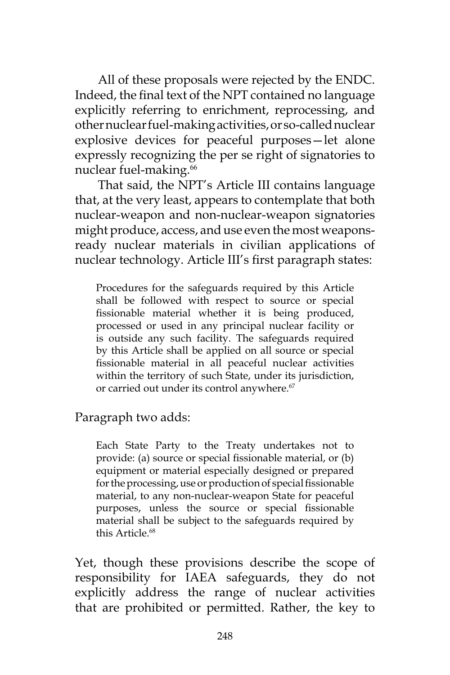All of these proposals were rejected by the ENDC. Indeed, the final text of the NPT contained no language explicitly referring to enrichment, reprocessing, and other nuclear fuel-making activities, or so-called nuclear explosive devices for peaceful purposes—let alone expressly recognizing the per se right of signatories to nuclear fuel-making.<sup>66</sup>

That said, the NPT's Article III contains language that, at the very least, appears to contemplate that both nuclear-weapon and non-nuclear-weapon signatories might produce, access, and use even the most weaponsready nuclear materials in civilian applications of nuclear technology. Article III's first paragraph states:

Procedures for the safeguards required by this Article shall be followed with respect to source or special fissionable material whether it is being produced, processed or used in any principal nuclear facility or is outside any such facility. The safeguards required by this Article shall be applied on all source or special fissionable material in all peaceful nuclear activities within the territory of such State, under its jurisdiction, or carried out under its control anywhere.<sup>67</sup>

Paragraph two adds:

Each State Party to the Treaty undertakes not to provide: (a) source or special fissionable material, or (b) equipment or material especially designed or prepared for the processing, use or production of special fissionable material, to any non-nuclear-weapon State for peaceful purposes, unless the source or special fissionable material shall be subject to the safeguards required by this Article.<sup>68</sup>

Yet, though these provisions describe the scope of responsibility for IAEA safeguards, they do not explicitly address the range of nuclear activities that are prohibited or permitted. Rather, the key to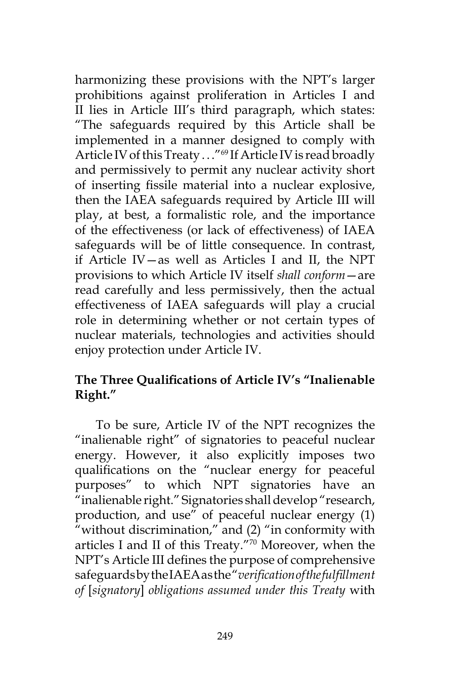harmonizing these provisions with the NPT's larger prohibitions against proliferation in Articles I and II lies in Article III's third paragraph, which states: "The safeguards required by this Article shall be implemented in a manner designed to comply with Article IV of this Treaty . . . "<sup>69</sup> If Article IV is read broadly and permissively to permit any nuclear activity short of inserting fissile material into a nuclear explosive, then the IAEA safeguards required by Article III will play, at best, a formalistic role, and the importance of the effectiveness (or lack of effectiveness) of IAEA safeguards will be of little consequence. In contrast, if Article IV—as well as Articles I and II, the NPT provisions to which Article IV itself *shall conform*—are read carefully and less permissively, then the actual effectiveness of IAEA safeguards will play a crucial role in determining whether or not certain types of nuclear materials, technologies and activities should enjoy protection under Article IV.

## **The Three Qualifications of Article IV's "Inalienable Right."**

To be sure, Article IV of the NPT recognizes the "inalienable right" of signatories to peaceful nuclear energy. However, it also explicitly imposes two qualifications on the "nuclear energy for peaceful purposes" to which NPT signatories have an "inalienable right." Signatories shall develop "research, production, and use" of peaceful nuclear energy (1) "without discrimination," and (2) "in conformity with articles I and II of this Treaty."70 Moreover, when the NPT's Article III defines the purpose of comprehensive safeguards by the IAEA as the "*verification of the fulfillment of* [*signatory*] *obligations assumed under this Treaty* with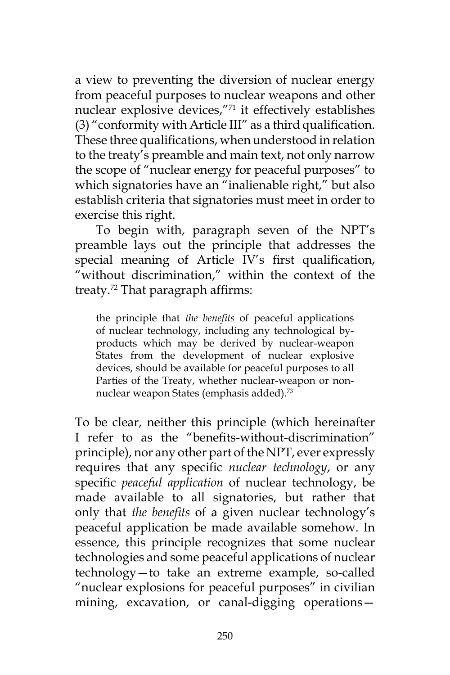a view to preventing the diversion of nuclear energy from peaceful purposes to nuclear weapons and other nuclear explosive devices,"71 it effectively establishes (3) "conformity with Article III" as a third qualification. These three qualifications, when understood in relation to the treaty's preamble and main text, not only narrow the scope of "nuclear energy for peaceful purposes" to which signatories have an "inalienable right," but also establish criteria that signatories must meet in order to exercise this right.

To begin with, paragraph seven of the NPT's preamble lays out the principle that addresses the special meaning of Article IV's first qualification, "without discrimination," within the context of the treaty.72 That paragraph affirms:

the principle that *the benefits* of peaceful applications of nuclear technology, including any technological byproducts which may be derived by nuclear-weapon States from the development of nuclear explosive devices, should be available for peaceful purposes to all Parties of the Treaty, whether nuclear-weapon or nonnuclear weapon States (emphasis added).73

To be clear, neither this principle (which hereinafter I refer to as the "benefits-without-discrimination" principle), nor any other part of the NPT, ever expressly requires that any specific *nuclear technology*, or any specific *peaceful application* of nuclear technology, be made available to all signatories, but rather that only that *the benefits* of a given nuclear technology's peaceful application be made available somehow. In essence, this principle recognizes that some nuclear technologies and some peaceful applications of nuclear technology—to take an extreme example, so-called "nuclear explosions for peaceful purposes" in civilian mining, excavation, or canal-digging operations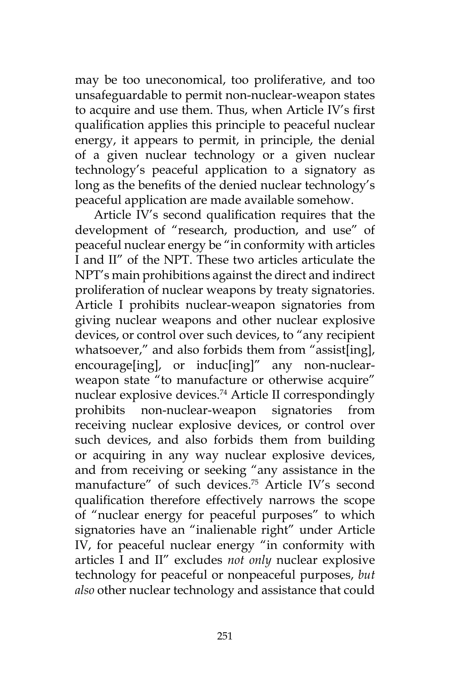may be too uneconomical, too proliferative, and too unsafeguardable to permit non-nuclear-weapon states to acquire and use them. Thus, when Article IV's first qualification applies this principle to peaceful nuclear energy, it appears to permit, in principle, the denial of a given nuclear technology or a given nuclear technology's peaceful application to a signatory as long as the benefits of the denied nuclear technology's peaceful application are made available somehow.

Article IV's second qualification requires that the development of "research, production, and use" of peaceful nuclear energy be "in conformity with articles I and II" of the NPT. These two articles articulate the NPT's main prohibitions against the direct and indirect proliferation of nuclear weapons by treaty signatories. Article I prohibits nuclear-weapon signatories from giving nuclear weapons and other nuclear explosive devices, or control over such devices, to "any recipient whatsoever," and also forbids them from "assist[ing], encourage[ing], or induc[ing]" any non-nuclearweapon state "to manufacture or otherwise acquire" nuclear explosive devices.<sup>74</sup> Article II correspondingly prohibits non-nuclear-weapon signatories from receiving nuclear explosive devices, or control over such devices, and also forbids them from building or acquiring in any way nuclear explosive devices, and from receiving or seeking "any assistance in the manufacture" of such devices.75 Article IV's second qualification therefore effectively narrows the scope of "nuclear energy for peaceful purposes" to which signatories have an "inalienable right" under Article IV, for peaceful nuclear energy "in conformity with articles I and II" excludes *not only* nuclear explosive technology for peaceful or nonpeaceful purposes, *but also* other nuclear technology and assistance that could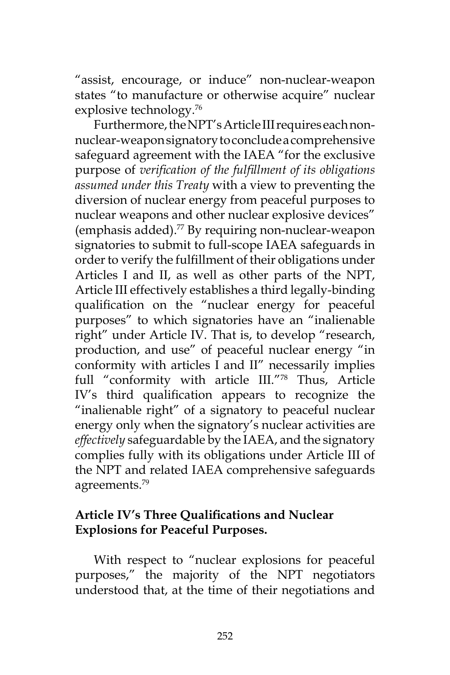"assist, encourage, or induce" non-nuclear-weapon states "to manufacture or otherwise acquire" nuclear explosive technology.<sup>76</sup>

Furthermore, the NPT's Article III requires each nonnuclear-weapon signatory to conclude a comprehensive safeguard agreement with the IAEA "for the exclusive purpose of *verification of the fulfillment of its obligations assumed under this Treaty* with a view to preventing the diversion of nuclear energy from peaceful purposes to nuclear weapons and other nuclear explosive devices" (emphasis added). $77$  By requiring non-nuclear-weapon signatories to submit to full-scope IAEA safeguards in order to verify the fulfillment of their obligations under Articles I and II, as well as other parts of the NPT, Article III effectively establishes a third legally-binding qualification on the "nuclear energy for peaceful purposes" to which signatories have an "inalienable right" under Article IV. That is, to develop "research, production, and use" of peaceful nuclear energy "in conformity with articles I and II" necessarily implies full "conformity with article III."78 Thus, Article IV's third qualification appears to recognize the "inalienable right" of a signatory to peaceful nuclear energy only when the signatory's nuclear activities are *effectively* safeguardable by the IAEA, and the signatory complies fully with its obligations under Article III of the NPT and related IAEA comprehensive safeguards agreements.<sup>79</sup>

# **Article IV's Three Qualifications and Nuclear Explosions for Peaceful Purposes.**

With respect to "nuclear explosions for peaceful purposes," the majority of the NPT negotiators understood that, at the time of their negotiations and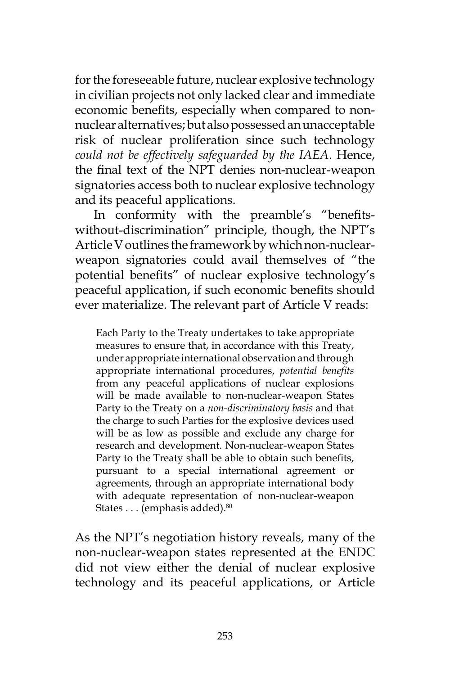for the foreseeable future, nuclear explosive technology in civilian projects not only lacked clear and immediate economic benefits, especially when compared to nonnuclear alternatives; but also possessed an unacceptable risk of nuclear proliferation since such technology *could not be effectively safeguarded by the IAEA*. Hence, the final text of the NPT denies non-nuclear-weapon signatories access both to nuclear explosive technology and its peaceful applications.

In conformity with the preamble's "benefitswithout-discrimination" principle, though, the NPT's Article V outlines the framework by which non-nuclearweapon signatories could avail themselves of "the potential benefits" of nuclear explosive technology's peaceful application, if such economic benefits should ever materialize. The relevant part of Article V reads:

Each Party to the Treaty undertakes to take appropriate measures to ensure that, in accordance with this Treaty, under appropriate international observation and through appropriate international procedures, *potential benefits* from any peaceful applications of nuclear explosions will be made available to non-nuclear-weapon States Party to the Treaty on a *non-discriminatory basis* and that the charge to such Parties for the explosive devices used will be as low as possible and exclude any charge for research and development. Non-nuclear-weapon States Party to the Treaty shall be able to obtain such benefits, pursuant to a special international agreement or agreements, through an appropriate international body with adequate representation of non-nuclear-weapon States . . . (emphasis added).<sup>80</sup>

As the NPT's negotiation history reveals, many of the non-nuclear-weapon states represented at the ENDC did not view either the denial of nuclear explosive technology and its peaceful applications, or Article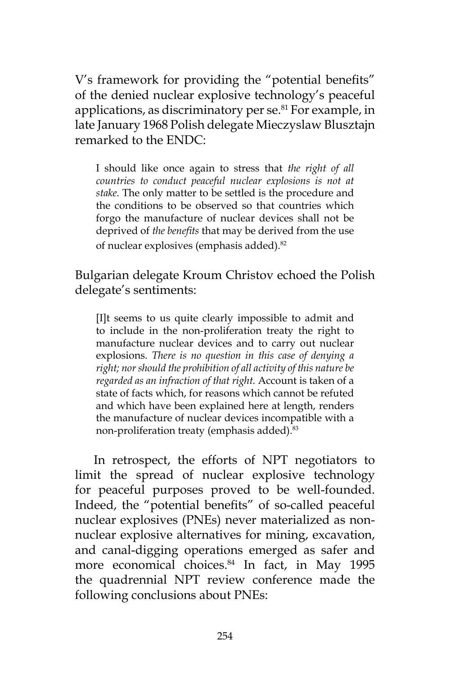V's framework for providing the "potential benefits" of the denied nuclear explosive technology's peaceful applications, as discriminatory per se.<sup>81</sup> For example, in late January 1968 Polish delegate Mieczyslaw Blusztajn remarked to the ENDC:

I should like once again to stress that *the right of all countries to conduct peaceful nuclear explosions is not at stake.* The only matter to be settled is the procedure and the conditions to be observed so that countries which forgo the manufacture of nuclear devices shall not be deprived of *the benefits* that may be derived from the use of nuclear explosives (emphasis added).82

Bulgarian delegate Kroum Christov echoed the Polish delegate's sentiments:

[I]t seems to us quite clearly impossible to admit and to include in the non-proliferation treaty the right to manufacture nuclear devices and to carry out nuclear explosions. *There is no question in this case of denying a right; nor should the prohibition of all activity of this nature be regarded as an infraction of that right.* Account is taken of a state of facts which, for reasons which cannot be refuted and which have been explained here at length, renders the manufacture of nuclear devices incompatible with a non-proliferation treaty (emphasis added).<sup>83</sup>

In retrospect, the efforts of NPT negotiators to limit the spread of nuclear explosive technology for peaceful purposes proved to be well-founded. Indeed, the "potential benefits" of so-called peaceful nuclear explosives (PNEs) never materialized as nonnuclear explosive alternatives for mining, excavation, and canal-digging operations emerged as safer and more economical choices.<sup>84</sup> In fact, in May 1995 the quadrennial NPT review conference made the following conclusions about PNEs: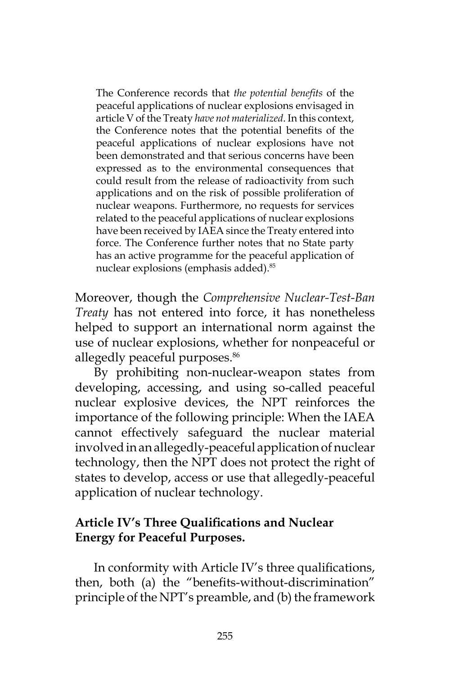The Conference records that *the potential benefits* of the peaceful applications of nuclear explosions envisaged in article V of the Treaty *have not materialized*. In this context, the Conference notes that the potential benefits of the peaceful applications of nuclear explosions have not been demonstrated and that serious concerns have been expressed as to the environmental consequences that could result from the release of radioactivity from such applications and on the risk of possible proliferation of nuclear weapons. Furthermore, no requests for services related to the peaceful applications of nuclear explosions have been received by IAEA since the Treaty entered into force. The Conference further notes that no State party has an active programme for the peaceful application of nuclear explosions (emphasis added).<sup>85</sup>

Moreover, though the *Comprehensive Nuclear-Test-Ban Treaty* has not entered into force, it has nonetheless helped to support an international norm against the use of nuclear explosions, whether for nonpeaceful or allegedly peaceful purposes.<sup>86</sup>

By prohibiting non-nuclear-weapon states from developing, accessing, and using so-called peaceful nuclear explosive devices, the NPT reinforces the importance of the following principle: When the IAEA cannot effectively safeguard the nuclear material involved in an allegedly-peaceful application of nuclear technology, then the NPT does not protect the right of states to develop, access or use that allegedly-peaceful application of nuclear technology.

## **Article IV's Three Qualifications and Nuclear Energy for Peaceful Purposes.**

In conformity with Article IV's three qualifications, then, both (a) the "benefits-without-discrimination" principle of the NPT's preamble, and (b) the framework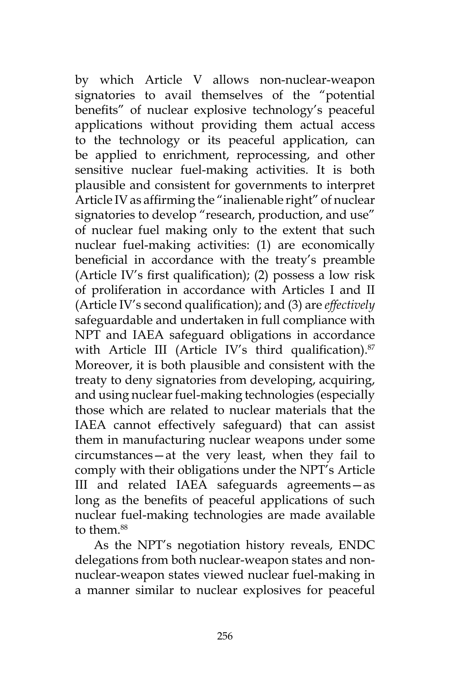by which Article V allows non-nuclear-weapon signatories to avail themselves of the "potential benefits" of nuclear explosive technology's peaceful applications without providing them actual access to the technology or its peaceful application, can be applied to enrichment, reprocessing, and other sensitive nuclear fuel-making activities. It is both plausible and consistent for governments to interpret Article IV as affirming the "inalienable right" of nuclear signatories to develop "research, production, and use" of nuclear fuel making only to the extent that such nuclear fuel-making activities: (1) are economically beneficial in accordance with the treaty's preamble (Article IV's first qualification); (2) possess a low risk of proliferation in accordance with Articles I and II (Article IV's second qualification); and (3) are *effectively*  safeguardable and undertaken in full compliance with NPT and IAEA safeguard obligations in accordance with Article III (Article IV's third qualification).<sup>87</sup> Moreover, it is both plausible and consistent with the treaty to deny signatories from developing, acquiring, and using nuclear fuel-making technologies (especially those which are related to nuclear materials that the IAEA cannot effectively safeguard) that can assist them in manufacturing nuclear weapons under some circumstances—at the very least, when they fail to comply with their obligations under the NPT's Article III and related IAEA safeguards agreements—as long as the benefits of peaceful applications of such nuclear fuel-making technologies are made available to them.<sup>88</sup>

As the NPT's negotiation history reveals, ENDC delegations from both nuclear-weapon states and nonnuclear-weapon states viewed nuclear fuel-making in a manner similar to nuclear explosives for peaceful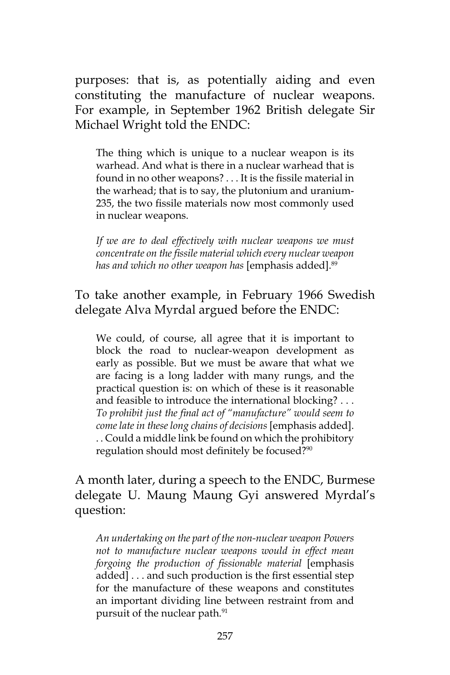purposes: that is, as potentially aiding and even constituting the manufacture of nuclear weapons. For example, in September 1962 British delegate Sir Michael Wright told the ENDC:

The thing which is unique to a nuclear weapon is its warhead. And what is there in a nuclear warhead that is found in no other weapons? . . . It is the fissile material in the warhead; that is to say, the plutonium and uranium-235, the two fissile materials now most commonly used in nuclear weapons.

*If we are to deal effectively with nuclear weapons we must concentrate on the fissile material which every nuclear weapon*  has and which no other weapon has [emphasis added].<sup>89</sup>

## To take another example, in February 1966 Swedish delegate Alva Myrdal argued before the ENDC:

We could, of course, all agree that it is important to block the road to nuclear-weapon development as early as possible. But we must be aware that what we are facing is a long ladder with many rungs, and the practical question is: on which of these is it reasonable and feasible to introduce the international blocking? . . . *To prohibit just the final act of "manufacture" would seem to come late in these long chains of decisions* [emphasis added]. . . Could a middle link be found on which the prohibitory regulation should most definitely be focused?<sup>90</sup>

A month later, during a speech to the ENDC, Burmese delegate U. Maung Maung Gyi answered Myrdal's question:

*An undertaking on the part of the non-nuclear weapon Powers not to manufacture nuclear weapons would in effect mean forgoing the production of fissionable material* [emphasis added] . . . and such production is the first essential step for the manufacture of these weapons and constitutes an important dividing line between restraint from and pursuit of the nuclear path.<sup>91</sup>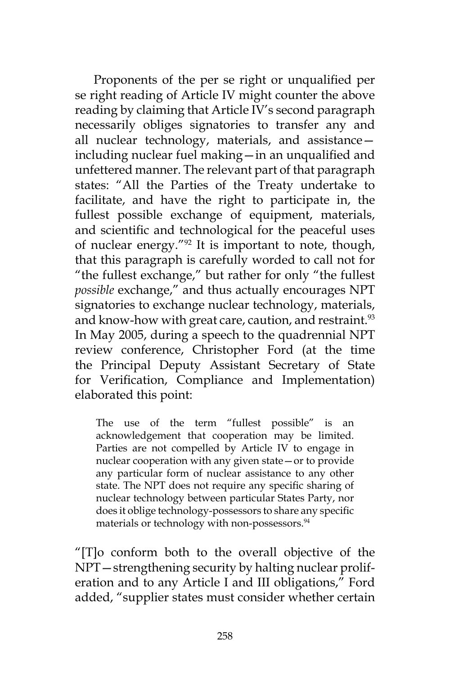Proponents of the per se right or unqualified per se right reading of Article IV might counter the above reading by claiming that Article IV's second paragraph necessarily obliges signatories to transfer any and all nuclear technology, materials, and assistance including nuclear fuel making—in an unqualified and unfettered manner. The relevant part of that paragraph states: "All the Parties of the Treaty undertake to facilitate, and have the right to participate in, the fullest possible exchange of equipment, materials, and scientific and technological for the peaceful uses of nuclear energy."92 It is important to note, though, that this paragraph is carefully worded to call not for "the fullest exchange," but rather for only "the fullest *possible* exchange," and thus actually encourages NPT signatories to exchange nuclear technology, materials, and know-how with great care, caution, and restraint.<sup>93</sup> In May 2005, during a speech to the quadrennial NPT review conference, Christopher Ford (at the time the Principal Deputy Assistant Secretary of State for Verification, Compliance and Implementation) elaborated this point:

The use of the term "fullest possible" is an acknowledgement that cooperation may be limited. Parties are not compelled by Article IV to engage in nuclear cooperation with any given state—or to provide any particular form of nuclear assistance to any other state. The NPT does not require any specific sharing of nuclear technology between particular States Party, nor does it oblige technology-possessors to share any specific materials or technology with non-possessors.<sup>94</sup>

"[T]o conform both to the overall objective of the NPT—strengthening security by halting nuclear proliferation and to any Article I and III obligations," Ford added, "supplier states must consider whether certain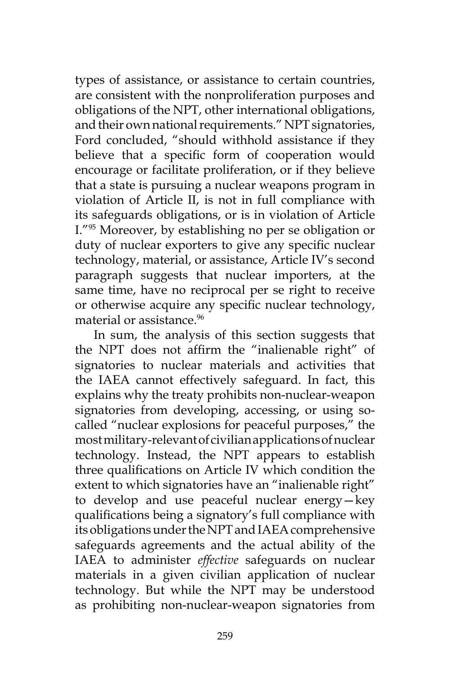types of assistance, or assistance to certain countries, are consistent with the nonproliferation purposes and obligations of the NPT, other international obligations, and their own national requirements." NPT signatories, Ford concluded, "should withhold assistance if they believe that a specific form of cooperation would encourage or facilitate proliferation, or if they believe that a state is pursuing a nuclear weapons program in violation of Article II, is not in full compliance with its safeguards obligations, or is in violation of Article I."95 Moreover, by establishing no per se obligation or duty of nuclear exporters to give any specific nuclear technology, material, or assistance, Article IV's second paragraph suggests that nuclear importers, at the same time, have no reciprocal per se right to receive or otherwise acquire any specific nuclear technology, material or assistance.<sup>96</sup>

In sum, the analysis of this section suggests that the NPT does not affirm the "inalienable right" of signatories to nuclear materials and activities that the IAEA cannot effectively safeguard. In fact, this explains why the treaty prohibits non-nuclear-weapon signatories from developing, accessing, or using socalled "nuclear explosions for peaceful purposes," the most military-relevant of civilian applications of nuclear technology. Instead, the NPT appears to establish three qualifications on Article IV which condition the extent to which signatories have an "inalienable right" to develop and use peaceful nuclear energy—key qualifications being a signatory's full compliance with its obligations under the NPT and IAEA comprehensive safeguards agreements and the actual ability of the IAEA to administer *effective* safeguards on nuclear materials in a given civilian application of nuclear technology. But while the NPT may be understood as prohibiting non-nuclear-weapon signatories from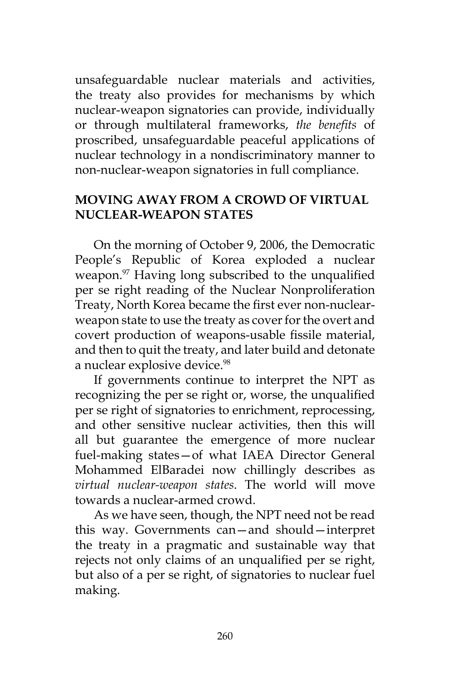unsafeguardable nuclear materials and activities, the treaty also provides for mechanisms by which nuclear-weapon signatories can provide, individually or through multilateral frameworks, *the benefits* of proscribed, unsafeguardable peaceful applications of nuclear technology in a nondiscriminatory manner to non-nuclear-weapon signatories in full compliance.

## **MOVING AWAY FROM A CROWD OF VIRTUAL NUCLEAR-WEAPON STATES**

On the morning of October 9, 2006, the Democratic People's Republic of Korea exploded a nuclear weapon.<sup>97</sup> Having long subscribed to the unqualified per se right reading of the Nuclear Nonproliferation Treaty, North Korea became the first ever non-nuclearweapon state to use the treaty as cover for the overt and covert production of weapons-usable fissile material, and then to quit the treaty, and later build and detonate a nuclear explosive device.<sup>98</sup>

If governments continue to interpret the NPT as recognizing the per se right or, worse, the unqualified per se right of signatories to enrichment, reprocessing, and other sensitive nuclear activities, then this will all but guarantee the emergence of more nuclear fuel-making states—of what IAEA Director General Mohammed ElBaradei now chillingly describes as *virtual nuclear-weapon states*. The world will move towards a nuclear-armed crowd.

As we have seen, though, the NPT need not be read this way. Governments can—and should—interpret the treaty in a pragmatic and sustainable way that rejects not only claims of an unqualified per se right, but also of a per se right, of signatories to nuclear fuel making.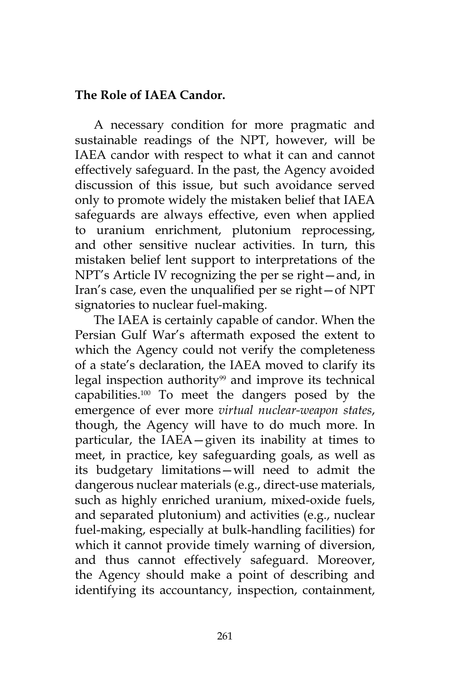#### **The Role of IAEA Candor.**

A necessary condition for more pragmatic and sustainable readings of the NPT, however, will be IAEA candor with respect to what it can and cannot effectively safeguard. In the past, the Agency avoided discussion of this issue, but such avoidance served only to promote widely the mistaken belief that IAEA safeguards are always effective, even when applied to uranium enrichment, plutonium reprocessing, and other sensitive nuclear activities. In turn, this mistaken belief lent support to interpretations of the NPT's Article IV recognizing the per se right—and, in Iran's case, even the unqualified per se right—of NPT signatories to nuclear fuel-making.

The IAEA is certainly capable of candor. When the Persian Gulf War's aftermath exposed the extent to which the Agency could not verify the completeness of a state's declaration, the IAEA moved to clarify its legal inspection authority<sup>99</sup> and improve its technical capabilities.100 To meet the dangers posed by the emergence of ever more *virtual nuclear-weapon states*, though, the Agency will have to do much more. In particular, the IAEA—given its inability at times to meet, in practice, key safeguarding goals, as well as its budgetary limitations—will need to admit the dangerous nuclear materials (e.g., direct-use materials, such as highly enriched uranium, mixed-oxide fuels, and separated plutonium) and activities (e.g., nuclear fuel-making, especially at bulk-handling facilities) for which it cannot provide timely warning of diversion, and thus cannot effectively safeguard. Moreover, the Agency should make a point of describing and identifying its accountancy, inspection, containment,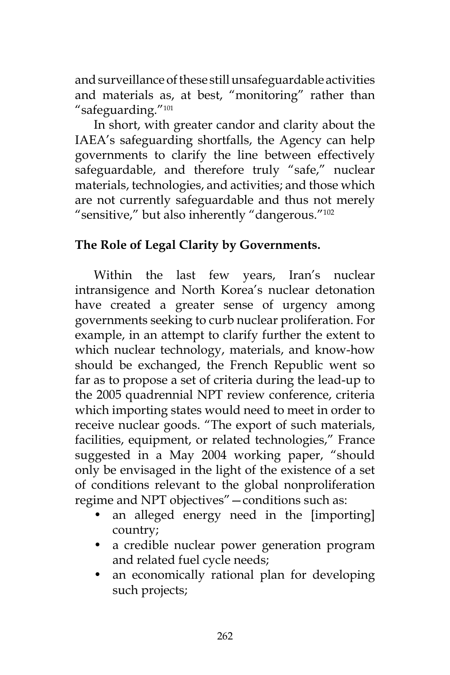and surveillance of these still unsafeguardable activities and materials as, at best, "monitoring" rather than "safeguarding."<sup>101</sup>

In short, with greater candor and clarity about the IAEA's safeguarding shortfalls, the Agency can help governments to clarify the line between effectively safeguardable, and therefore truly "safe," nuclear materials, technologies, and activities; and those which are not currently safeguardable and thus not merely "sensitive," but also inherently "dangerous."102

## **The Role of Legal Clarity by Governments.**

Within the last few years, Iran's nuclear intransigence and North Korea's nuclear detonation have created a greater sense of urgency among governments seeking to curb nuclear proliferation. For example, in an attempt to clarify further the extent to which nuclear technology, materials, and know-how should be exchanged, the French Republic went so far as to propose a set of criteria during the lead-up to the 2005 quadrennial NPT review conference, criteria which importing states would need to meet in order to receive nuclear goods. "The export of such materials, facilities, equipment, or related technologies," France suggested in a May 2004 working paper, "should only be envisaged in the light of the existence of a set of conditions relevant to the global nonproliferation regime and NPT objectives"—conditions such as:

- an alleged energy need in the [importing] country;
- a credible nuclear power generation program and related fuel cycle needs;
- an economically rational plan for developing such projects;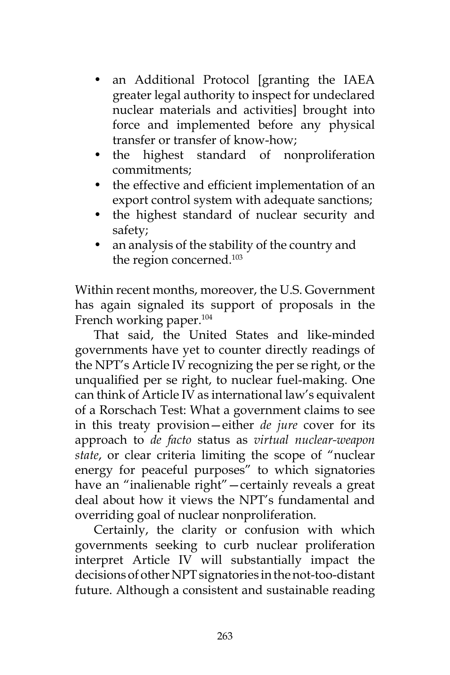- an Additional Protocol [granting the IAEA greater legal authority to inspect for undeclared nuclear materials and activities] brought into force and implemented before any physical transfer or transfer of know-how;
- the highest standard of nonproliferation commitments;
- the effective and efficient implementation of an export control system with adequate sanctions;
- the highest standard of nuclear security and safety;
- an analysis of the stability of the country and the region concerned.<sup>103</sup>

Within recent months, moreover, the U.S. Government has again signaled its support of proposals in the French working paper.<sup>104</sup>

That said, the United States and like-minded governments have yet to counter directly readings of the NPT's Article IV recognizing the per se right, or the unqualified per se right, to nuclear fuel-making. One can think of Article IV as international law's equivalent of a Rorschach Test: What a government claims to see in this treaty provision—either *de jure* cover for its approach to *de facto* status as *virtual nuclear-weapon state*, or clear criteria limiting the scope of "nuclear energy for peaceful purposes" to which signatories have an "inalienable right"—certainly reveals a great deal about how it views the NPT's fundamental and overriding goal of nuclear nonproliferation.

Certainly, the clarity or confusion with which governments seeking to curb nuclear proliferation interpret Article IV will substantially impact the decisions of other NPT signatories in the not-too-distant future. Although a consistent and sustainable reading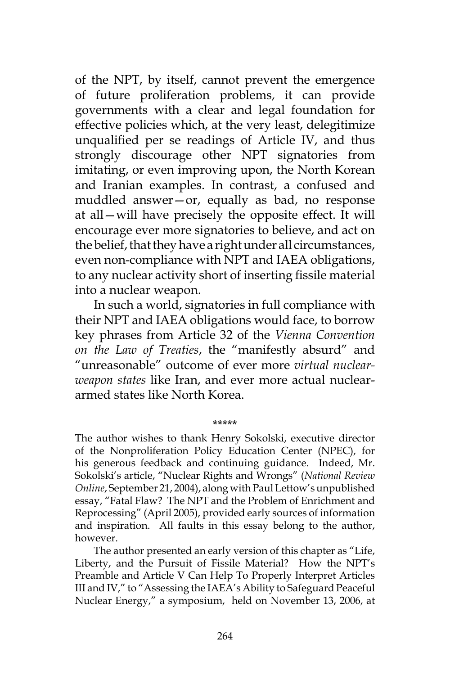of the NPT, by itself, cannot prevent the emergence of future proliferation problems, it can provide governments with a clear and legal foundation for effective policies which, at the very least, delegitimize unqualified per se readings of Article IV, and thus strongly discourage other NPT signatories from imitating, or even improving upon, the North Korean and Iranian examples. In contrast, a confused and muddled answer—or, equally as bad, no response at all—will have precisely the opposite effect. It will encourage ever more signatories to believe, and act on the belief, that they have a right under all circumstances, even non-compliance with NPT and IAEA obligations, to any nuclear activity short of inserting fissile material into a nuclear weapon.

In such a world, signatories in full compliance with their NPT and IAEA obligations would face, to borrow key phrases from Article 32 of the *Vienna Convention on the Law of Treaties*, the "manifestly absurd" and "unreasonable" outcome of ever more *virtual nuclearweapon states* like Iran, and ever more actual nucleararmed states like North Korea.

#### \*\*\*\*\*

The author wishes to thank Henry Sokolski, executive director of the Nonproliferation Policy Education Center (NPEC), for his generous feedback and continuing guidance. Indeed, Mr. Sokolski's article, "Nuclear Rights and Wrongs" (*National Review Online*, September 21, 2004), along with Paul Lettow's unpublished essay, "Fatal Flaw? The NPT and the Problem of Enrichment and Reprocessing" (April 2005), provided early sources of information and inspiration. All faults in this essay belong to the author, however.

The author presented an early version of this chapter as "Life, Liberty, and the Pursuit of Fissile Material? How the NPT's Preamble and Article V Can Help To Properly Interpret Articles III and IV," to "Assessing the IAEA's Ability to Safeguard Peaceful Nuclear Energy," a symposium, held on November 13, 2006, at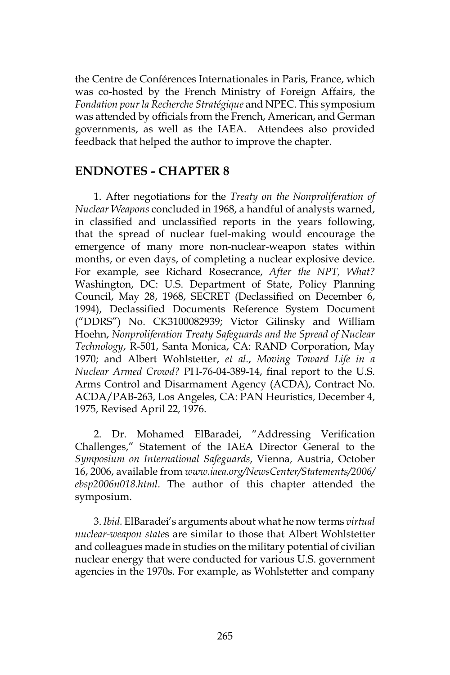the Centre de Conférences Internationales in Paris, France, which was co-hosted by the French Ministry of Foreign Affairs, the *Fondation pour la Recherche Stratégique* and NPEC. This symposium was attended by officials from the French, American, and German governments, as well as the IAEA. Attendees also provided feedback that helped the author to improve the chapter.

#### **ENDNOTES - CHAPTER 8**

1. After negotiations for the *Treaty on the Nonproliferation of Nuclear Weapons* concluded in 1968, a handful of analysts warned, in classified and unclassified reports in the years following, that the spread of nuclear fuel-making would encourage the emergence of many more non-nuclear-weapon states within months, or even days, of completing a nuclear explosive device. For example, see Richard Rosecrance, *After the NPT, What?* Washington, DC: U.S. Department of State, Policy Planning Council, May 28, 1968, SECRET (Declassified on December 6, 1994), Declassified Documents Reference System Document ("DDRS") No. CK3100082939; Victor Gilinsky and William Hoehn, *Nonproliferation Treaty Safeguards and the Spread of Nuclear Technology*, R-501, Santa Monica, CA: RAND Corporation, May 1970; and Albert Wohlstetter, *et al.*, *Moving Toward Life in a Nuclear Armed Crowd?* PH-76-04-389-14, final report to the U.S. Arms Control and Disarmament Agency (ACDA), Contract No. ACDA/PAB-263, Los Angeles, CA: PAN Heuristics, December 4, 1975, Revised April 22, 1976.

2. Dr. Mohamed ElBaradei, "Addressing Verification Challenges," Statement of the IAEA Director General to the *Symposium on International Safeguards*, Vienna, Austria, October 16, 2006, available from *www.iaea.org/NewsCenter/Statements/2006/ ebsp2006n018.html*. The author of this chapter attended the symposium.

3. *Ibid.* ElBaradei's arguments about what he now terms *virtual nuclear-weapon state*s are similar to those that Albert Wohlstetter and colleagues made in studies on the military potential of civilian nuclear energy that were conducted for various U.S. government agencies in the 1970s. For example, as Wohlstetter and company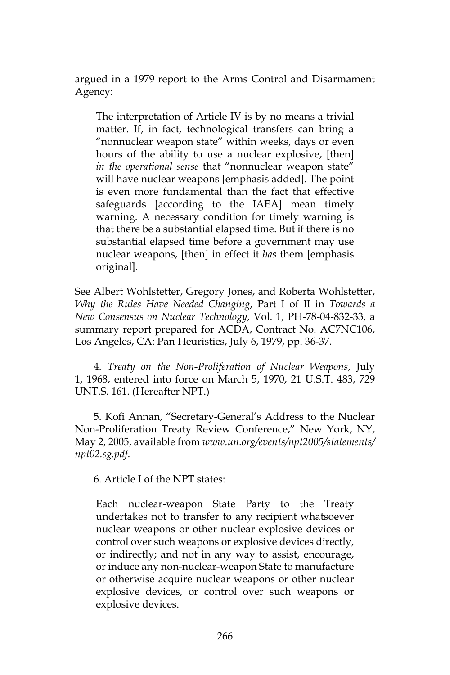argued in a 1979 report to the Arms Control and Disarmament Agency:

The interpretation of Article IV is by no means a trivial matter. If, in fact, technological transfers can bring a "nonnuclear weapon state" within weeks, days or even hours of the ability to use a nuclear explosive, [then] *in the operational sense* that "nonnuclear weapon state" will have nuclear weapons [emphasis added]. The point is even more fundamental than the fact that effective safeguards [according to the IAEA] mean timely warning. A necessary condition for timely warning is that there be a substantial elapsed time. But if there is no substantial elapsed time before a government may use nuclear weapons, [then] in effect it *has* them [emphasis original].

See Albert Wohlstetter, Gregory Jones, and Roberta Wohlstetter, *Why the Rules Have Needed Changing*, Part I of II in *Towards a New Consensus on Nuclear Technology*, Vol. 1, PH-78-04-832-33, a summary report prepared for ACDA, Contract No. AC7NC106, Los Angeles, CA: Pan Heuristics, July 6, 1979, pp. 36-37.

4. *Treaty on the Non-Proliferation of Nuclear Weapons*, July 1, 1968, entered into force on March 5, 1970, 21 U.S.T. 483, 729 UNT.S. 161. (Hereafter NPT.)

5. Kofi Annan, "Secretary-General's Address to the Nuclear Non-Proliferation Treaty Review Conference," New York, NY, May 2, 2005, available from *www.un.org/events/npt2005/statements/ npt02.sg.pdf*.

6. Article I of the NPT states:

Each nuclear-weapon State Party to the Treaty undertakes not to transfer to any recipient whatsoever nuclear weapons or other nuclear explosive devices or control over such weapons or explosive devices directly, or indirectly; and not in any way to assist, encourage, or induce any non-nuclear-weapon State to manufacture or otherwise acquire nuclear weapons or other nuclear explosive devices, or control over such weapons or explosive devices.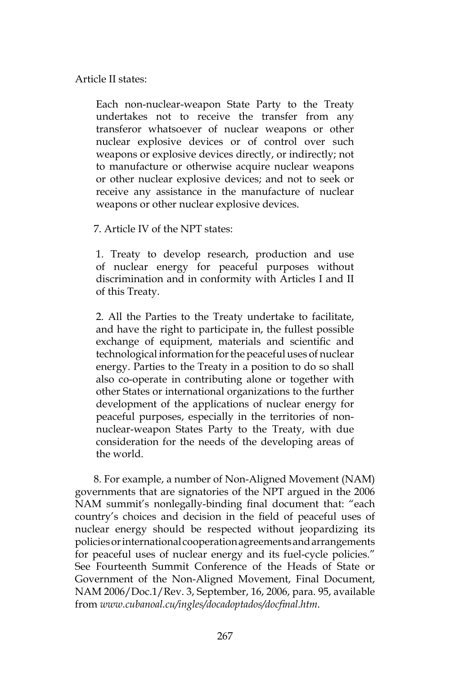Article II states:

Each non-nuclear-weapon State Party to the Treaty undertakes not to receive the transfer from any transferor whatsoever of nuclear weapons or other nuclear explosive devices or of control over such weapons or explosive devices directly, or indirectly; not to manufacture or otherwise acquire nuclear weapons or other nuclear explosive devices; and not to seek or receive any assistance in the manufacture of nuclear weapons or other nuclear explosive devices.

7. Article IV of the NPT states:

1. Treaty to develop research, production and use of nuclear energy for peaceful purposes without discrimination and in conformity with Articles I and II of this Treaty.

2. All the Parties to the Treaty undertake to facilitate, and have the right to participate in, the fullest possible exchange of equipment, materials and scientific and technological information for the peaceful uses of nuclear energy. Parties to the Treaty in a position to do so shall also co-operate in contributing alone or together with other States or international organizations to the further development of the applications of nuclear energy for peaceful purposes, especially in the territories of nonnuclear-weapon States Party to the Treaty, with due consideration for the needs of the developing areas of the world.

8. For example, a number of Non-Aligned Movement (NAM) governments that are signatories of the NPT argued in the 2006 NAM summit's nonlegally-binding final document that: "each country's choices and decision in the field of peaceful uses of nuclear energy should be respected without jeopardizing its policies or international cooperation agreements and arrangements for peaceful uses of nuclear energy and its fuel-cycle policies." See Fourteenth Summit Conference of the Heads of State or Government of the Non-Aligned Movement, Final Document, NAM 2006/Doc.1/Rev. 3, September, 16, 2006, para. 95, available from *www.cubanoal.cu/ingles/docadoptados/docfinal.htm*.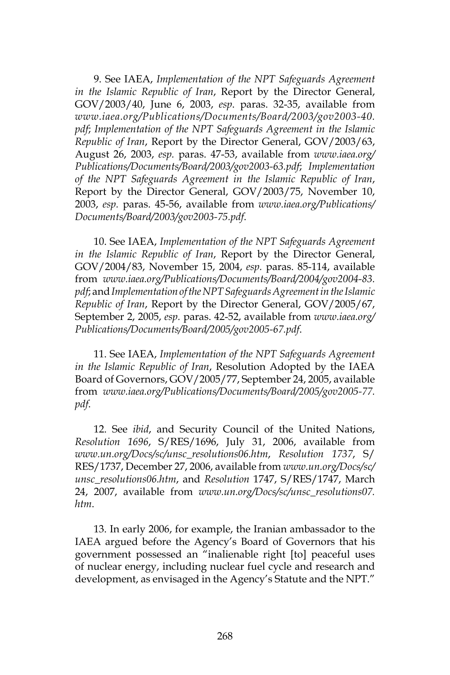9. See IAEA, *Implementation of the NPT Safeguards Agreement in the Islamic Republic of Iran*, Report by the Director General, GOV/2003/40, June 6, 2003, *esp*. paras. 32-35, available from *www.iaea.org/Publications/Documents/Board/2003/gov2003-40. pdf*; *Implementation of the NPT Safeguards Agreement in the Islamic Republic of Iran*, Report by the Director General, GOV/2003/63, August 26, 2003, *esp.* paras. 47-53, available from *www.iaea.org/ Publications/Documents/Board/2003/gov2003-63.pdf*; *Implementation of the NPT Safeguards Agreement in the Islamic Republic of Iran*, Report by the Director General, GOV/2003/75, November 10, 2003, *esp.* paras. 45-56, available from *www.iaea.org/Publications/ Documents/Board/2003/gov2003-75.pdf*.

10. See IAEA, *Implementation of the NPT Safeguards Agreement in the Islamic Republic of Iran*, Report by the Director General, GOV/2004/83, November 15, 2004, *esp.* paras. 85-114, available from *www.iaea.org/Publications/Documents/Board/2004/gov2004-83. pdf*; and *Implementation of the NPT Safeguards Agreement in the Islamic Republic of Iran*, Report by the Director General, GOV/2005/67, September 2, 2005, *esp.* paras. 42-52, available from *www.iaea.org/ Publications/Documents/Board/2005/gov2005-67.pdf*.

11. See IAEA, *Implementation of the NPT Safeguards Agreement in the Islamic Republic of Iran*, Resolution Adopted by the IAEA Board of Governors, GOV/2005/77, September 24, 2005, available from *www.iaea.org/Publications/Documents/Board/2005/gov2005-77. pdf*.

12. See *ibid*, and Security Council of the United Nations, *Resolution 1696*, S/RES/1696, July 31, 2006, available from *www.un.org/Docs/sc/unsc\_resolutions06.htm*, *Resolution 1737*, S/ RES/1737, December 27, 2006, available from *www.un.org/Docs/sc/ unsc\_resolutions06.htm*, and *Resolution* 1747, S/RES/1747, March 24, 2007, available from *www.un.org/Docs/sc/unsc\_resolutions07. htm*.

13. In early 2006, for example, the Iranian ambassador to the IAEA argued before the Agency's Board of Governors that his government possessed an "inalienable right [to] peaceful uses of nuclear energy, including nuclear fuel cycle and research and development, as envisaged in the Agency's Statute and the NPT."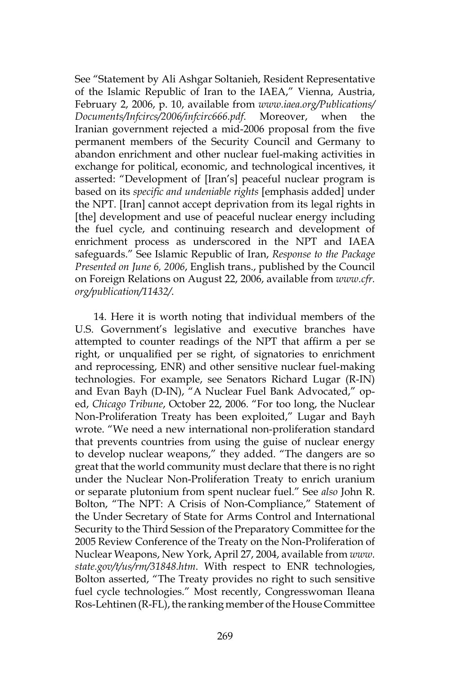See "Statement by Ali Ashgar Soltanieh, Resident Representative of the Islamic Republic of Iran to the IAEA," Vienna, Austria, February 2, 2006, p. 10, available from *www.iaea.org/Publications/ Documents/Infcircs/2006/infcirc666.pdf*. Moreover, when the Iranian government rejected a mid-2006 proposal from the five permanent members of the Security Council and Germany to abandon enrichment and other nuclear fuel-making activities in exchange for political, economic, and technological incentives, it asserted: "Development of [Iran's] peaceful nuclear program is based on its *specific and undeniable rights* [emphasis added] under the NPT. [Iran] cannot accept deprivation from its legal rights in [the] development and use of peaceful nuclear energy including the fuel cycle, and continuing research and development of enrichment process as underscored in the NPT and IAEA safeguards." See Islamic Republic of Iran, *Response to the Package Presented on June 6, 2006*, English trans., published by the Council on Foreign Relations on August 22, 2006, available from *www.cfr. org/publication/11432/*.

14. Here it is worth noting that individual members of the U.S. Government's legislative and executive branches have attempted to counter readings of the NPT that affirm a per se right, or unqualified per se right, of signatories to enrichment and reprocessing, ENR) and other sensitive nuclear fuel-making technologies. For example, see Senators Richard Lugar (R-IN) and Evan Bayh (D-IN), "A Nuclear Fuel Bank Advocated," oped, *Chicago Tribune*, October 22, 2006. "For too long, the Nuclear Non-Proliferation Treaty has been exploited," Lugar and Bayh wrote. "We need a new international non-proliferation standard that prevents countries from using the guise of nuclear energy to develop nuclear weapons," they added. "The dangers are so great that the world community must declare that there is no right under the Nuclear Non-Proliferation Treaty to enrich uranium or separate plutonium from spent nuclear fuel." See *also* John R. Bolton, "The NPT: A Crisis of Non-Compliance," Statement of the Under Secretary of State for Arms Control and International Security to the Third Session of the Preparatory Committee for the 2005 Review Conference of the Treaty on the Non-Proliferation of Nuclear Weapons, New York, April 27, 2004, available from *www. state.gov/t/us/rm/31848.htm*. With respect to ENR technologies, Bolton asserted, "The Treaty provides no right to such sensitive fuel cycle technologies." Most recently, Congresswoman Ileana Ros-Lehtinen (R-FL), the ranking member of the House Committee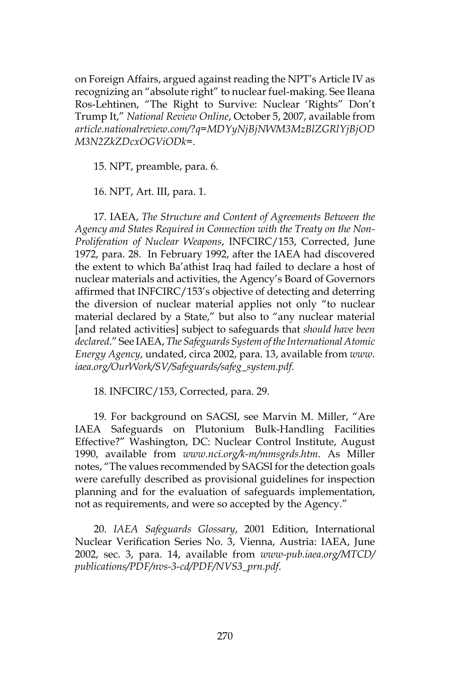on Foreign Affairs, argued against reading the NPT's Article IV as recognizing an "absolute right" to nuclear fuel-making. See Ileana Ros-Lehtinen, "The Right to Survive: Nuclear 'Rights" Don't Trump It," *National Review Online*, October 5, 2007, available from *article.nationalreview.com/?q=MDYyNjBjNWM3MzBlZGRlYjBjOD M3N2ZkZDcxOGViODk=*.

15. NPT, preamble, para. 6.

16. NPT, Art. III, para. 1.

17. IAEA, *The Structure and Content of Agreements Between the Agency and States Required in Connection with the Treaty on the Non-Proliferation of Nuclear Weapons*, INFCIRC/153, Corrected, June 1972, para. 28. In February 1992, after the IAEA had discovered the extent to which Ba'athist Iraq had failed to declare a host of nuclear materials and activities, the Agency's Board of Governors affirmed that INFCIRC/153's objective of detecting and deterring the diversion of nuclear material applies not only "to nuclear material declared by a State," but also to "any nuclear material [and related activities] subject to safeguards that *should have been declared*." See IAEA, *The Safeguards System of the International Atomic Energy Agency*, undated, circa 2002, para. 13, available from *www. iaea.org/OurWork/SV/Safeguards/safeg\_system.pdf*.

18. INFCIRC/153, Corrected, para. 29.

19. For background on SAGSI, see Marvin M. Miller, "Are IAEA Safeguards on Plutonium Bulk-Handling Facilities Effective?" Washington, DC: Nuclear Control Institute, August 1990, available from *www.nci.org/k-m/mmsgrds.htm*. As Miller notes, "The values recommended by SAGSI for the detection goals were carefully described as provisional guidelines for inspection planning and for the evaluation of safeguards implementation, not as requirements, and were so accepted by the Agency."

20. *IAEA Safeguards Glossary*, 2001 Edition, International Nuclear Verification Series No. 3, Vienna, Austria: IAEA, June 2002, sec. 3, para. 14, available from *www-pub.iaea.org/MTCD/ publications/PDF/nvs-3-cd/PDF/NVS3\_prn.pdf*.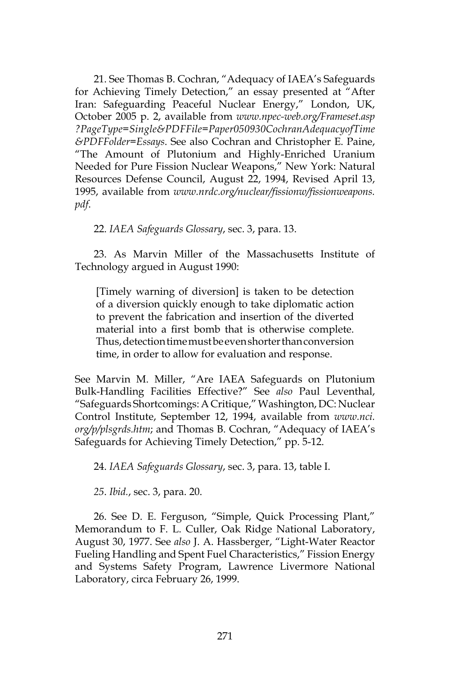21. See Thomas B. Cochran, "Adequacy of IAEA's Safeguards for Achieving Timely Detection," an essay presented at "After Iran: Safeguarding Peaceful Nuclear Energy," London, UK, October 2005 p. 2, available from *www.npec-web.org/Frameset.asp ?PageType=Single&PDFFile=Paper050930CochranAdequacyofTime &PDFFolder=Essays*. See also Cochran and Christopher E. Paine, "The Amount of Plutonium and Highly-Enriched Uranium Needed for Pure Fission Nuclear Weapons," New York: Natural Resources Defense Council, August 22, 1994, Revised April 13, 1995, available from *www.nrdc.org/nuclear/fissionw/fissionweapons. pdf*.

22. *IAEA Safeguards Glossary*, sec. 3, para. 13.

23. As Marvin Miller of the Massachusetts Institute of Technology argued in August 1990:

[Timely warning of diversion] is taken to be detection of a diversion quickly enough to take diplomatic action to prevent the fabrication and insertion of the diverted material into a first bomb that is otherwise complete. Thus, detection time must be even shorter than conversion time, in order to allow for evaluation and response.

See Marvin M. Miller, "Are IAEA Safeguards on Plutonium Bulk-Handling Facilities Effective?" See *also* Paul Leventhal, "Safeguards Shortcomings: A Critique," Washington, DC: Nuclear Control Institute, September 12, 1994, available from *www.nci. org/p/plsgrds.htm*; and Thomas B. Cochran, "Adequacy of IAEA's Safeguards for Achieving Timely Detection," pp. 5-12.

24. *IAEA Safeguards Glossary*, sec. 3, para. 13, table I.

*25*. *Ibid.*, sec. 3, para. 20.

26. See D. E. Ferguson, "Simple, Quick Processing Plant," Memorandum to F. L. Culler, Oak Ridge National Laboratory, August 30, 1977. See *also* J. A. Hassberger, "Light-Water Reactor Fueling Handling and Spent Fuel Characteristics," Fission Energy and Systems Safety Program, Lawrence Livermore National Laboratory, circa February 26, 1999.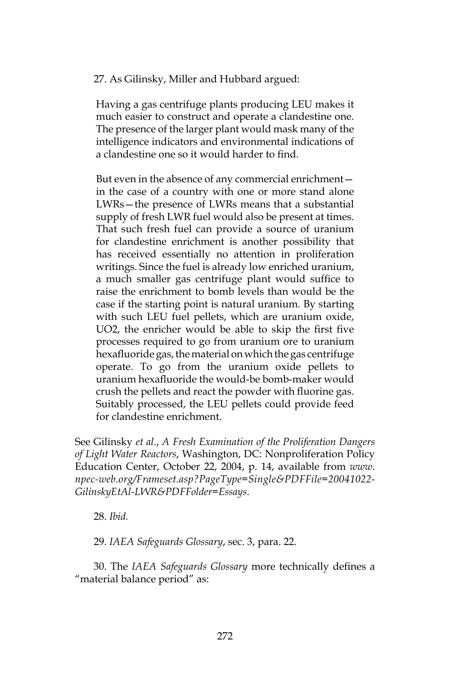27. As Gilinsky, Miller and Hubbard argued:

Having a gas centrifuge plants producing LEU makes it much easier to construct and operate a clandestine one. The presence of the larger plant would mask many of the intelligence indicators and environmental indications of a clandestine one so it would harder to find.

But even in the absence of any commercial enrichment in the case of a country with one or more stand alone LWRs—the presence of LWRs means that a substantial supply of fresh LWR fuel would also be present at times. That such fresh fuel can provide a source of uranium for clandestine enrichment is another possibility that has received essentially no attention in proliferation writings. Since the fuel is already low enriched uranium, a much smaller gas centrifuge plant would suffice to raise the enrichment to bomb levels than would be the case if the starting point is natural uranium. By starting with such LEU fuel pellets, which are uranium oxide, UO2, the enricher would be able to skip the first five processes required to go from uranium ore to uranium hexafluoride gas, the material on which the gas centrifuge operate. To go from the uranium oxide pellets to uranium hexafluoride the would-be bomb-maker would crush the pellets and react the powder with fluorine gas. Suitably processed, the LEU pellets could provide feed for clandestine enrichment.

See Gilinsky *et al.*, *A Fresh Examination of the Proliferation Dangers of Light Water Reactors*, Washington, DC: Nonproliferation Policy Education Center, October 22, 2004, p. 14, available from *www. npec-web.org/Frameset.asp?PageType=Single&PDFFile=20041022- GilinskyEtAl-LWR&PDFFolder=Essays*.

28. *Ibid.*

29. *IAEA Safeguards Glossary*, sec. 3, para. 22.

30. The *IAEA Safeguards Glossary* more technically defines a "material balance period" as: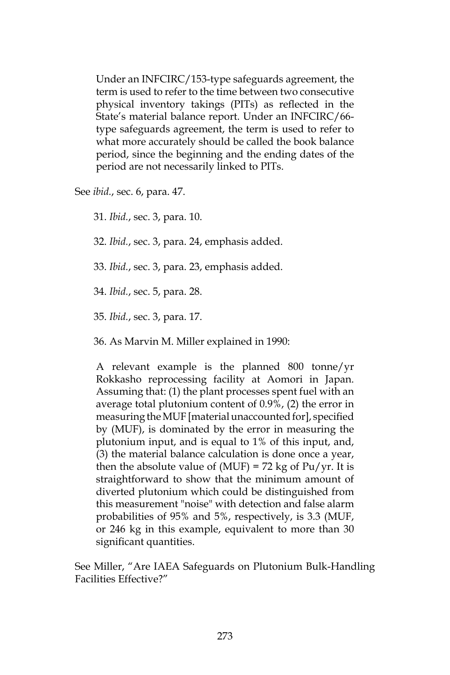Under an INFCIRC/153-type safeguards agreement, the term is used to refer to the time between two consecutive physical inventory takings (PITs) as reflected in the State's material balance report. Under an INFCIRC/66 type safeguards agreement, the term is used to refer to what more accurately should be called the book balance period, since the beginning and the ending dates of the period are not necessarily linked to PITs.

See *ibid.*, sec. 6, para. 47.

31. *Ibid.*, sec. 3, para. 10.

32. *Ibid.*, sec. 3, para. 24, emphasis added.

33. *Ibid.*, sec. 3, para. 23, emphasis added.

34. *Ibid.*, sec. 5, para. 28.

35. *Ibid.*, sec. 3, para. 17.

36. As Marvin M. Miller explained in 1990:

A relevant example is the planned 800 tonne/yr Rokkasho reprocessing facility at Aomori in Japan. Assuming that: (1) the plant processes spent fuel with an average total plutonium content of 0.9%, (2) the error in measuring the MUF [material unaccounted for], specified by (MUF), is dominated by the error in measuring the plutonium input, and is equal to 1% of this input, and, (3) the material balance calculation is done once a year, then the absolute value of (MUF) = 72 kg of Pu/yr. It is straightforward to show that the minimum amount of diverted plutonium which could be distinguished from this measurement "noise" with detection and false alarm probabilities of 95% and 5%, respectively, is 3.3 (MUF, or 246 kg in this example, equivalent to more than 30 significant quantities.

See Miller, "Are IAEA Safeguards on Plutonium Bulk-Handling Facilities Effective?"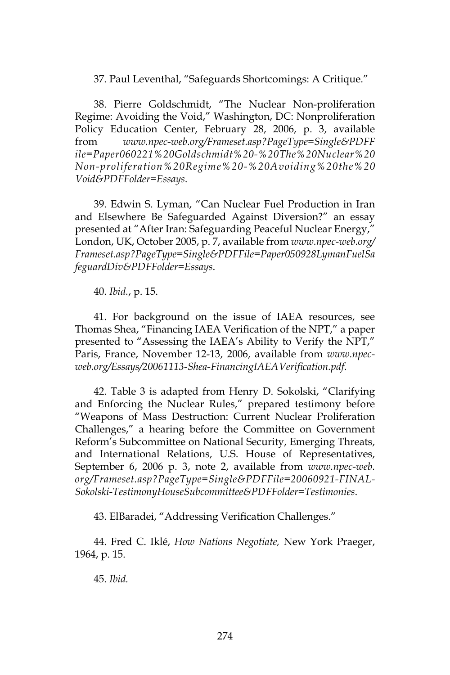37. Paul Leventhal, "Safeguards Shortcomings: A Critique."

38. Pierre Goldschmidt, "The Nuclear Non-proliferation Regime: Avoiding the Void," Washington, DC: Nonproliferation Policy Education Center, February 28, 2006, p. 3, available from *www.npec-web.org/Frameset.asp?PageType=Single&PDFF ile=Paper060221%20Goldschmidt%20-%20The%20Nuclear%20 Non-proliferation%20Regime%20-%20Avoiding%20the%20 Void&PDFFolder=Essays*.

39. Edwin S. Lyman, "Can Nuclear Fuel Production in Iran and Elsewhere Be Safeguarded Against Diversion?" an essay presented at "After Iran: Safeguarding Peaceful Nuclear Energy," London, UK, October 2005, p. 7, available from *www.npec-web.org/ Frameset.asp?PageType=Single&PDFFile=Paper050928LymanFuelSa feguardDiv&PDFFolder=Essays*.

40. *Ibid.*, p. 15.

41. For background on the issue of IAEA resources, see Thomas Shea, "Financing IAEA Verification of the NPT," a paper presented to "Assessing the IAEA's Ability to Verify the NPT," Paris, France, November 12-13, 2006, available from *www.npecweb.org/Essays/20061113-Shea-FinancingIAEAVerification.pdf*.

42. Table 3 is adapted from Henry D. Sokolski, "Clarifying and Enforcing the Nuclear Rules," prepared testimony before "Weapons of Mass Destruction: Current Nuclear Proliferation Challenges," a hearing before the Committee on Government Reform's Subcommittee on National Security, Emerging Threats, and International Relations, U.S. House of Representatives, September 6, 2006 p. 3, note 2, available from *www.npec-web. org/Frameset.asp?PageType=Single&PDFFile=20060921-FINAL-Sokolski-TestimonyHouseSubcommittee&PDFFolder=Testimonies*.

43. ElBaradei, "Addressing Verification Challenges."

44. Fred C. Iklé, *How Nations Negotiate,* New York Praeger, 1964, p. 15.

45. *Ibid.*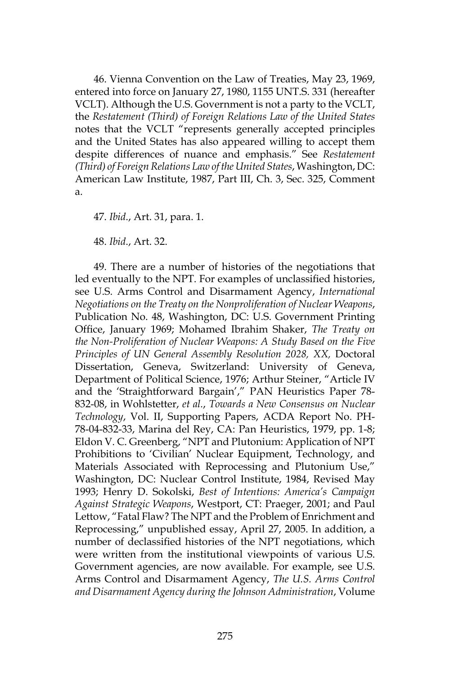46. Vienna Convention on the Law of Treaties, May 23, 1969, entered into force on January 27, 1980, 1155 UNT.S. 331 (hereafter VCLT). Although the U.S. Government is not a party to the VCLT, the *Restatement (Third) of Foreign Relations Law of the United States* notes that the VCLT "represents generally accepted principles and the United States has also appeared willing to accept them despite differences of nuance and emphasis." See *Restatement (Third) of Foreign Relations Law of the United States*, Washington, DC: American Law Institute, 1987, Part III, Ch. 3, Sec. 325, Comment a.

47. *Ibid*., Art. 31, para. 1.

48. *Ibid*., Art. 32.

49. There are a number of histories of the negotiations that led eventually to the NPT. For examples of unclassified histories, see U.S. Arms Control and Disarmament Agency, *International Negotiations on the Treaty on the Nonproliferation of Nuclear Weapons*, Publication No. 48, Washington, DC: U.S. Government Printing Office, January 1969; Mohamed Ibrahim Shaker, *The Treaty on the Non-Proliferation of Nuclear Weapons: A Study Based on the Five Principles of UN General Assembly Resolution 2028, XX,* Doctoral Dissertation, Geneva, Switzerland: University of Geneva, Department of Political Science, 1976; Arthur Steiner, "Article IV and the 'Straightforward Bargain'," PAN Heuristics Paper 78- 832-08, in Wohlstetter, *et al.*, *Towards a New Consensus on Nuclear Technology*, Vol. II, Supporting Papers, ACDA Report No. PH-78-04-832-33, Marina del Rey, CA: Pan Heuristics, 1979, pp. 1-8; Eldon V. C. Greenberg, "NPT and Plutonium: Application of NPT Prohibitions to 'Civilian' Nuclear Equipment, Technology, and Materials Associated with Reprocessing and Plutonium Use," Washington, DC: Nuclear Control Institute, 1984, Revised May 1993; Henry D. Sokolski, *Best of Intentions: America's Campaign Against Strategic Weapons*, Westport, CT: Praeger, 2001; and Paul Lettow, "Fatal Flaw? The NPT and the Problem of Enrichment and Reprocessing," unpublished essay, April 27, 2005. In addition, a number of declassified histories of the NPT negotiations, which were written from the institutional viewpoints of various U.S. Government agencies, are now available. For example, see U.S. Arms Control and Disarmament Agency, *The U.S. Arms Control and Disarmament Agency during the Johnson Administration*, Volume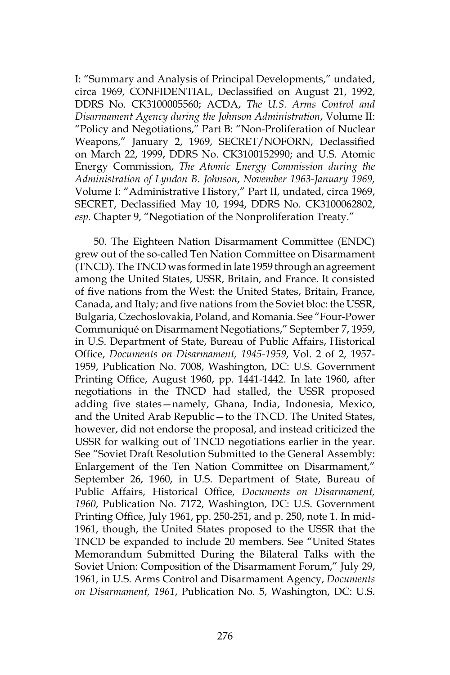I: "Summary and Analysis of Principal Developments," undated, circa 1969, CONFIDENTIAL, Declassified on August 21, 1992, DDRS No. CK3100005560; ACDA, *The U.S. Arms Control and Disarmament Agency during the Johnson Administration*, Volume II: "Policy and Negotiations," Part B: "Non-Proliferation of Nuclear Weapons," January 2, 1969, SECRET/NOFORN, Declassified on March 22, 1999, DDRS No. CK3100152990; and U.S. Atomic Energy Commission, *The Atomic Energy Commission during the Administration of Lyndon B. Johnson*, *November 1963-January 1969,* Volume I: "Administrative History," Part II, undated, circa 1969, SECRET, Declassified May 10, 1994, DDRS No. CK3100062802, *esp.* Chapter 9, "Negotiation of the Nonproliferation Treaty."

50. The Eighteen Nation Disarmament Committee (ENDC) grew out of the so-called Ten Nation Committee on Disarmament (TNCD). The TNCD was formed in late 1959 through an agreement among the United States, USSR, Britain, and France. It consisted of five nations from the West: the United States, Britain, France, Canada, and Italy; and five nations from the Soviet bloc: the USSR, Bulgaria, Czechoslovakia, Poland, and Romania. See "Four-Power Communiqué on Disarmament Negotiations," September 7, 1959, in U.S. Department of State, Bureau of Public Affairs, Historical Office, *Documents on Disarmament, 1945-1959*, Vol. 2 of 2, 1957- 1959, Publication No. 7008, Washington, DC: U.S. Government Printing Office, August 1960, pp. 1441-1442. In late 1960, after negotiations in the TNCD had stalled, the USSR proposed adding five states—namely, Ghana, India, Indonesia, Mexico, and the United Arab Republic—to the TNCD. The United States, however, did not endorse the proposal, and instead criticized the USSR for walking out of TNCD negotiations earlier in the year. See "Soviet Draft Resolution Submitted to the General Assembly: Enlargement of the Ten Nation Committee on Disarmament," September 26, 1960, in U.S. Department of State, Bureau of Public Affairs, Historical Office, *Documents on Disarmament, 1960*, Publication No. 7172, Washington, DC: U.S. Government Printing Office, July 1961, pp. 250-251, and p. 250, note 1. In mid-1961, though, the United States proposed to the USSR that the TNCD be expanded to include 20 members. See "United States Memorandum Submitted During the Bilateral Talks with the Soviet Union: Composition of the Disarmament Forum," July 29, 1961, in U.S. Arms Control and Disarmament Agency, *Documents on Disarmament, 1961*, Publication No. 5, Washington, DC: U.S.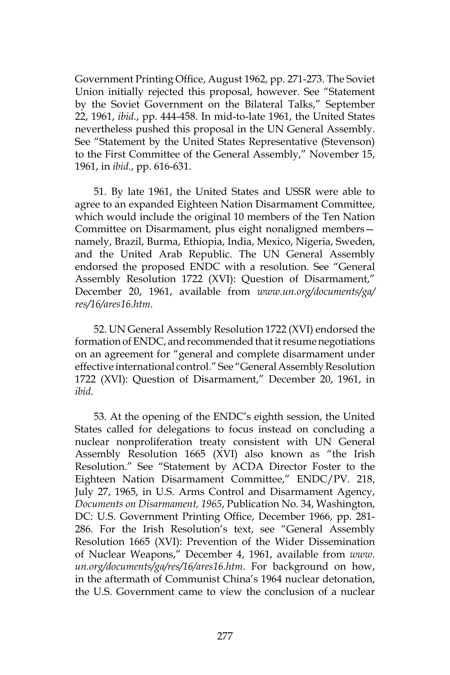Government Printing Office, August 1962, pp. 271-273. The Soviet Union initially rejected this proposal, however. See "Statement by the Soviet Government on the Bilateral Talks," September 22, 1961, *ibid.*, pp. 444-458. In mid-to-late 1961, the United States nevertheless pushed this proposal in the UN General Assembly. See "Statement by the United States Representative (Stevenson) to the First Committee of the General Assembly," November 15, 1961, in *ibid.*, pp. 616-631.

51. By late 1961, the United States and USSR were able to agree to an expanded Eighteen Nation Disarmament Committee, which would include the original 10 members of the Ten Nation Committee on Disarmament, plus eight nonaligned members namely, Brazil, Burma, Ethiopia, India, Mexico, Nigeria, Sweden, and the United Arab Republic. The UN General Assembly endorsed the proposed ENDC with a resolution. See "General Assembly Resolution 1722 (XVI): Question of Disarmament," December 20, 1961, available from *www.un.org/documents/ga/ res/16/ares16.htm*.

52. UN General Assembly Resolution 1722 (XVI) endorsed the formation of ENDC, and recommended that it resume negotiations on an agreement for "general and complete disarmament under effective international control." See "General Assembly Resolution 1722 (XVI): Question of Disarmament," December 20, 1961, in *ibid.*

53. At the opening of the ENDC's eighth session, the United States called for delegations to focus instead on concluding a nuclear nonproliferation treaty consistent with UN General Assembly Resolution 1665 (XVI) also known as "the Irish Resolution." See "Statement by ACDA Director Foster to the Eighteen Nation Disarmament Committee," ENDC/PV. 218, July 27, 1965, in U.S. Arms Control and Disarmament Agency, *Documents on Disarmament, 1965*, Publication No. 34, Washington, DC: U.S. Government Printing Office, December 1966, pp. 281- 286. For the Irish Resolution's text, see "General Assembly Resolution 1665 (XVI): Prevention of the Wider Dissemination of Nuclear Weapons," December 4, 1961, available from *www. un.org/documents/ga/res/16/ares16.htm*. For background on how, in the aftermath of Communist China's 1964 nuclear detonation, the U.S. Government came to view the conclusion of a nuclear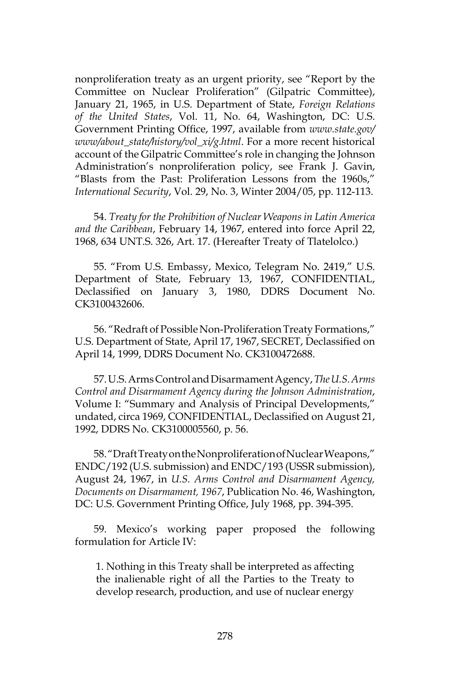nonproliferation treaty as an urgent priority, see "Report by the Committee on Nuclear Proliferation" (Gilpatric Committee), January 21, 1965, in U.S. Department of State, *Foreign Relations of the United States*, Vol. 11, No. 64, Washington, DC: U.S. Government Printing Office, 1997, available from *www.state.gov/ www/about\_state/history/vol\_xi/g.html*. For a more recent historical account of the Gilpatric Committee's role in changing the Johnson Administration's nonproliferation policy, see Frank J. Gavin, "Blasts from the Past: Proliferation Lessons from the 1960s," *International Security*, Vol. 29, No. 3, Winter 2004/05, pp. 112-113.

54. *Treaty for the Prohibition of Nuclear Weapons in Latin America and the Caribbean*, February 14, 1967, entered into force April 22, 1968, 634 UNT.S. 326, Art. 17. (Hereafter Treaty of Tlatelolco.)

55. "From U.S. Embassy, Mexico, Telegram No. 2419," U.S. Department of State, February 13, 1967, CONFIDENTIAL, Declassified on January 3, 1980, DDRS Document No. CK3100432606.

56. "Redraft of Possible Non-Proliferation Treaty Formations," U.S. Department of State, April 17, 1967, SECRET, Declassified on April 14, 1999, DDRS Document No. CK3100472688.

57. U.S. Arms Control and Disarmament Agency, *The U.S. Arms Control and Disarmament Agency during the Johnson Administration*, Volume I: "Summary and Analysis of Principal Developments," undated, circa 1969, CONFIDENTIAL, Declassified on August 21, 1992, DDRS No. CK3100005560, p. 56.

58. "Draft Treaty on the Nonproliferation of Nuclear Weapons," ENDC/192 (U.S. submission) and ENDC/193 (USSR submission), August 24, 1967, in *U.S. Arms Control and Disarmament Agency, Documents on Disarmament, 1967*, Publication No. 46, Washington, DC: U.S. Government Printing Office, July 1968, pp. 394-395.

59. Mexico's working paper proposed the following formulation for Article IV:

1. Nothing in this Treaty shall be interpreted as affecting the inalienable right of all the Parties to the Treaty to develop research, production, and use of nuclear energy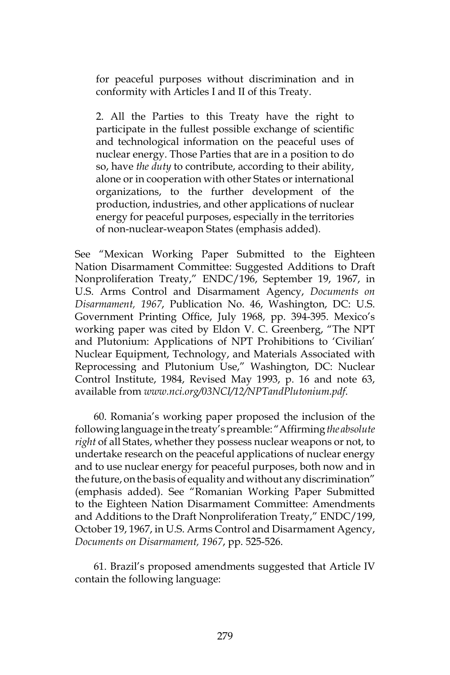for peaceful purposes without discrimination and in conformity with Articles I and II of this Treaty.

2. All the Parties to this Treaty have the right to participate in the fullest possible exchange of scientific and technological information on the peaceful uses of nuclear energy. Those Parties that are in a position to do so, have *the duty* to contribute, according to their ability, alone or in cooperation with other States or international organizations, to the further development of the production, industries, and other applications of nuclear energy for peaceful purposes, especially in the territories of non-nuclear-weapon States (emphasis added).

See "Mexican Working Paper Submitted to the Eighteen Nation Disarmament Committee: Suggested Additions to Draft Nonproliferation Treaty," ENDC/196, September 19, 1967, in U.S. Arms Control and Disarmament Agency, *Documents on Disarmament, 1967*, Publication No. 46, Washington, DC: U.S. Government Printing Office, July 1968, pp. 394-395. Mexico's working paper was cited by Eldon V. C. Greenberg, "The NPT and Plutonium: Applications of NPT Prohibitions to 'Civilian' Nuclear Equipment, Technology, and Materials Associated with Reprocessing and Plutonium Use," Washington, DC: Nuclear Control Institute, 1984, Revised May 1993, p. 16 and note 63, available from *www.nci.org/03NCI/12/NPTandPlutonium.pdf*.

60. Romania's working paper proposed the inclusion of the following language in the treaty's preamble: "Affirming *the absolute right* of all States, whether they possess nuclear weapons or not, to undertake research on the peaceful applications of nuclear energy and to use nuclear energy for peaceful purposes, both now and in the future, on the basis of equality and without any discrimination" (emphasis added). See "Romanian Working Paper Submitted to the Eighteen Nation Disarmament Committee: Amendments and Additions to the Draft Nonproliferation Treaty," ENDC/199, October 19, 1967, in U.S. Arms Control and Disarmament Agency, *Documents on Disarmament, 1967*, pp. 525-526.

61. Brazil's proposed amendments suggested that Article IV contain the following language: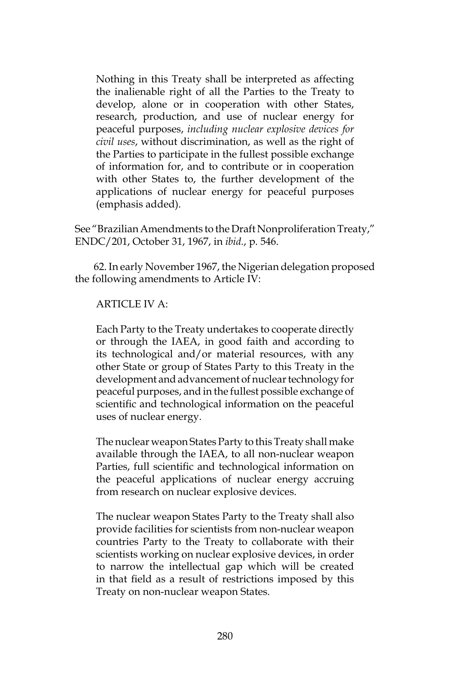Nothing in this Treaty shall be interpreted as affecting the inalienable right of all the Parties to the Treaty to develop, alone or in cooperation with other States, research, production, and use of nuclear energy for peaceful purposes, *including nuclear explosive devices for civil uses*, without discrimination, as well as the right of the Parties to participate in the fullest possible exchange of information for, and to contribute or in cooperation with other States to, the further development of the applications of nuclear energy for peaceful purposes (emphasis added).

See "Brazilian Amendments to the Draft Nonproliferation Treaty," ENDC/201, October 31, 1967, in *ibid.*, p. 546.

62. In early November 1967, the Nigerian delegation proposed the following amendments to Article IV:

#### ARTICLE IV A:

Each Party to the Treaty undertakes to cooperate directly or through the IAEA, in good faith and according to its technological and/or material resources, with any other State or group of States Party to this Treaty in the development and advancement of nuclear technology for peaceful purposes, and in the fullest possible exchange of scientific and technological information on the peaceful uses of nuclear energy.

The nuclear weapon States Party to this Treaty shall make available through the IAEA, to all non-nuclear weapon Parties, full scientific and technological information on the peaceful applications of nuclear energy accruing from research on nuclear explosive devices.

The nuclear weapon States Party to the Treaty shall also provide facilities for scientists from non-nuclear weapon countries Party to the Treaty to collaborate with their scientists working on nuclear explosive devices, in order to narrow the intellectual gap which will be created in that field as a result of restrictions imposed by this Treaty on non-nuclear weapon States.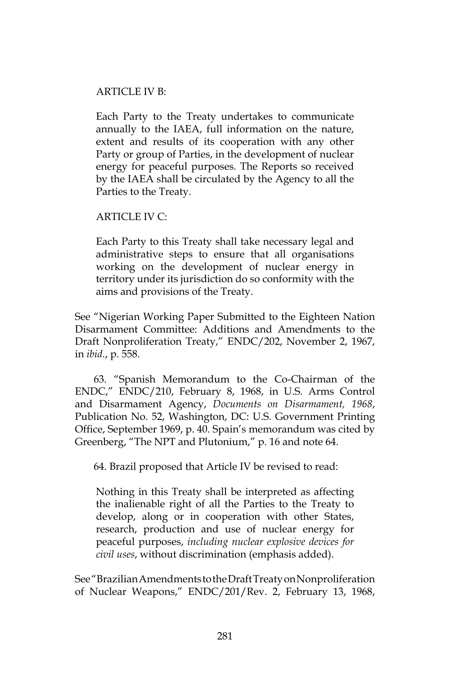#### ARTICLE IV B:

Each Party to the Treaty undertakes to communicate annually to the IAEA, full information on the nature, extent and results of its cooperation with any other Party or group of Parties, in the development of nuclear energy for peaceful purposes. The Reports so received by the IAEA shall be circulated by the Agency to all the Parties to the Treaty.

#### ARTICLE IV C:

Each Party to this Treaty shall take necessary legal and administrative steps to ensure that all organisations working on the development of nuclear energy in territory under its jurisdiction do so conformity with the aims and provisions of the Treaty.

See "Nigerian Working Paper Submitted to the Eighteen Nation Disarmament Committee: Additions and Amendments to the Draft Nonproliferation Treaty," ENDC/202, November 2, 1967, in *ibid.*, p. 558.

63. "Spanish Memorandum to the Co-Chairman of the ENDC," ENDC/210, February 8, 1968, in U.S. Arms Control and Disarmament Agency, *Documents on Disarmament, 1968*, Publication No. 52, Washington, DC: U.S. Government Printing Office, September 1969, p. 40. Spain's memorandum was cited by Greenberg, "The NPT and Plutonium," p. 16 and note 64.

64. Brazil proposed that Article IV be revised to read:

Nothing in this Treaty shall be interpreted as affecting the inalienable right of all the Parties to the Treaty to develop, along or in cooperation with other States, research, production and use of nuclear energy for peaceful purposes, *including nuclear explosive devices for civil uses*, without discrimination (emphasis added).

See "Brazilian Amendments to the Draft Treaty on Nonproliferation of Nuclear Weapons," ENDC/201/Rev. 2, February 13, 1968,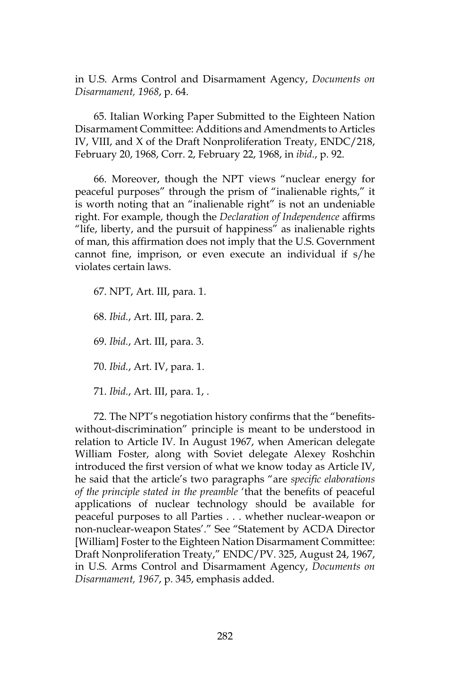in U.S. Arms Control and Disarmament Agency, *Documents on Disarmament, 1968*, p. 64.

65. Italian Working Paper Submitted to the Eighteen Nation Disarmament Committee: Additions and Amendments to Articles IV, VIII, and X of the Draft Nonproliferation Treaty, ENDC/218, February 20, 1968, Corr. 2, February 22, 1968, in *ibid.*, p. 92.

66. Moreover, though the NPT views "nuclear energy for peaceful purposes" through the prism of "inalienable rights," it is worth noting that an "inalienable right" is not an undeniable right. For example, though the *Declaration of Independence* affirms "life, liberty, and the pursuit of happiness" as inalienable rights of man, this affirmation does not imply that the U.S. Government cannot fine, imprison, or even execute an individual if s/he violates certain laws.

67. NPT, Art. III, para. 1.

68. *Ibid.*, Art. III, para. 2.

69. *Ibid.*, Art. III, para. 3.

70. *Ibid.*, Art. IV, para. 1.

71. *Ibid.*, Art. III, para. 1, .

72. The NPT's negotiation history confirms that the "benefitswithout-discrimination" principle is meant to be understood in relation to Article IV. In August 1967, when American delegate William Foster, along with Soviet delegate Alexey Roshchin introduced the first version of what we know today as Article IV, he said that the article's two paragraphs "are *specific elaborations of the principle stated in the preamble* 'that the benefits of peaceful applications of nuclear technology should be available for peaceful purposes to all Parties . . . whether nuclear-weapon or non-nuclear-weapon States'." See "Statement by ACDA Director [William] Foster to the Eighteen Nation Disarmament Committee: Draft Nonproliferation Treaty," ENDC/PV. 325, August 24, 1967, in U.S. Arms Control and Disarmament Agency, *Documents on Disarmament, 1967*, p. 345, emphasis added.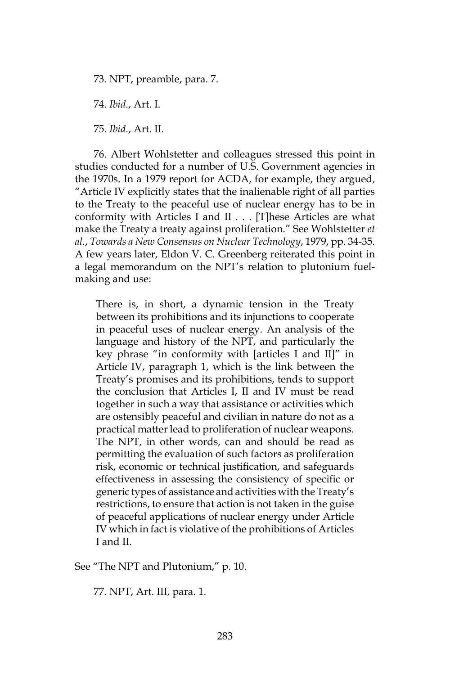73. NPT, preamble, para. 7.

74. *Ibid*., Art. I.

75. *Ibid*., Art. II.

76. Albert Wohlstetter and colleagues stressed this point in studies conducted for a number of U.S. Government agencies in the 1970s. In a 1979 report for ACDA, for example, they argued, "Article IV explicitly states that the inalienable right of all parties to the Treaty to the peaceful use of nuclear energy has to be in conformity with Articles I and II . . . [T]hese Articles are what make the Treaty a treaty against proliferation." See Wohlstetter *et al.*, *Towards a New Consensus on Nuclear Technology*, 1979, pp. 34-35. A few years later, Eldon V. C. Greenberg reiterated this point in a legal memorandum on the NPT's relation to plutonium fuelmaking and use:

There is, in short, a dynamic tension in the Treaty between its prohibitions and its injunctions to cooperate in peaceful uses of nuclear energy. An analysis of the language and history of the NPT, and particularly the key phrase "in conformity with [articles I and II]" in Article IV, paragraph 1, which is the link between the Treaty's promises and its prohibitions, tends to support the conclusion that Articles I, II and IV must be read together in such a way that assistance or activities which are ostensibly peaceful and civilian in nature do not as a practical matter lead to proliferation of nuclear weapons. The NPT, in other words, can and should be read as permitting the evaluation of such factors as proliferation risk, economic or technical justification, and safeguards effectiveness in assessing the consistency of specific or generic types of assistance and activities with the Treaty's restrictions, to ensure that action is not taken in the guise of peaceful applications of nuclear energy under Article IV which in fact is violative of the prohibitions of Articles I and II.

See "The NPT and Plutonium," p. 10.

77. NPT, Art. III, para. 1.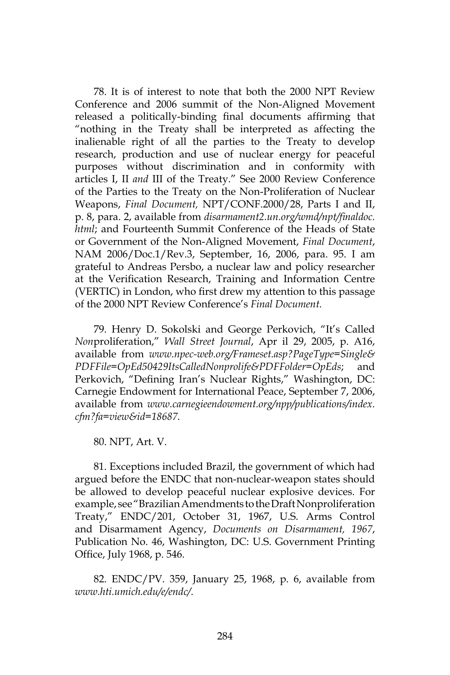78. It is of interest to note that both the 2000 NPT Review Conference and 2006 summit of the Non-Aligned Movement released a politically-binding final documents affirming that "nothing in the Treaty shall be interpreted as affecting the inalienable right of all the parties to the Treaty to develop research, production and use of nuclear energy for peaceful purposes without discrimination and in conformity with articles I, II *and* III of the Treaty." See 2000 Review Conference of the Parties to the Treaty on the Non-Proliferation of Nuclear Weapons, *Final Document,* NPT/CONF.2000/28, Parts I and II, p. 8, para. 2, available from *disarmament2.un.org/wmd/npt/finaldoc. html*; and Fourteenth Summit Conference of the Heads of State or Government of the Non-Aligned Movement, *Final Document*, NAM 2006/Doc.1/Rev.3, September, 16, 2006, para. 95. I am grateful to Andreas Persbo, a nuclear law and policy researcher at the Verification Research, Training and Information Centre (VERTIC) in London, who first drew my attention to this passage of the 2000 NPT Review Conference's *Final Document.*

79. Henry D. Sokolski and George Perkovich, "It's Called *Non*proliferation," *Wall Street Journal*, Apr il 29, 2005, p. A16, available from *www.npec-web.org/Frameset.asp?PageType=Single& PDFFile=OpEd50429ItsCalledNonprolife&PDFFolder=OpEds*; and Perkovich, "Defining Iran's Nuclear Rights," Washington, DC: Carnegie Endowment for International Peace, September 7, 2006, available from *www.carnegieendowment.org/npp/publications/index. cfm?fa=view&id=18687*.

80. NPT, Art. V.

81. Exceptions included Brazil, the government of which had argued before the ENDC that non-nuclear-weapon states should be allowed to develop peaceful nuclear explosive devices. For example, see"Brazilian Amendments to the Draft Nonproliferation Treaty," ENDC/201, October 31, 1967, U.S. Arms Control and Disarmament Agency, *Documents on Disarmament, 1967*, Publication No. 46, Washington, DC: U.S. Government Printing Office, July 1968, p. 546.

82. ENDC/PV. 359, January 25, 1968, p. 6, available from *www.hti.umich.edu/e/endc/*.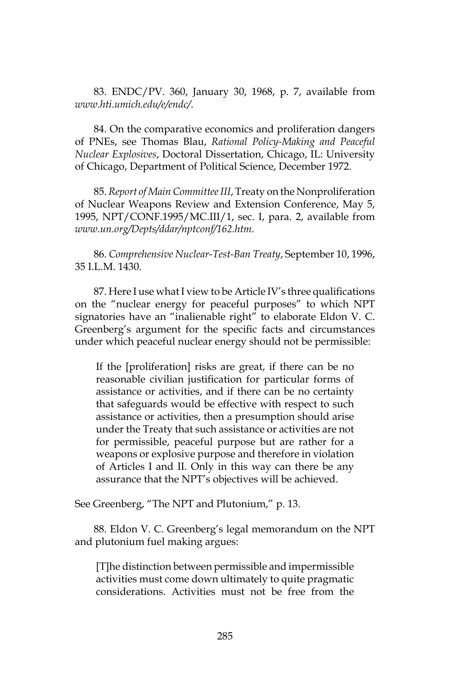83. ENDC/PV. 360, January 30, 1968, p. 7, available from *www.hti.umich.edu/e/endc/*.

84. On the comparative economics and proliferation dangers of PNEs, see Thomas Blau, *Rational Policy-Making and Peaceful Nuclear Explosives*, Doctoral Dissertation, Chicago, IL: University of Chicago, Department of Political Science, December 1972.

85. *Report of Main Committee III*, Treaty on the Nonproliferation of Nuclear Weapons Review and Extension Conference, May 5, 1995, NPT/CONF.1995/MC.III/1, sec. I, para. 2, available from *www.un.org/Depts/ddar/nptconf/162.htm*.

86. *Comprehensive Nuclear-Test-Ban Treaty*, September 10, 1996, 35 I.L.M. 1430.

87. Here I use what I view to be Article IV's three qualifications on the "nuclear energy for peaceful purposes" to which NPT signatories have an "inalienable right" to elaborate Eldon V. C. Greenberg's argument for the specific facts and circumstances under which peaceful nuclear energy should not be permissible:

If the [proliferation] risks are great, if there can be no reasonable civilian justification for particular forms of assistance or activities, and if there can be no certainty that safeguards would be effective with respect to such assistance or activities, then a presumption should arise under the Treaty that such assistance or activities are not for permissible, peaceful purpose but are rather for a weapons or explosive purpose and therefore in violation of Articles I and II. Only in this way can there be any assurance that the NPT's objectives will be achieved.

See Greenberg, "The NPT and Plutonium," p. 13.

88. Eldon V. C. Greenberg's legal memorandum on the NPT and plutonium fuel making argues:

[T]he distinction between permissible and impermissible activities must come down ultimately to quite pragmatic considerations. Activities must not be free from the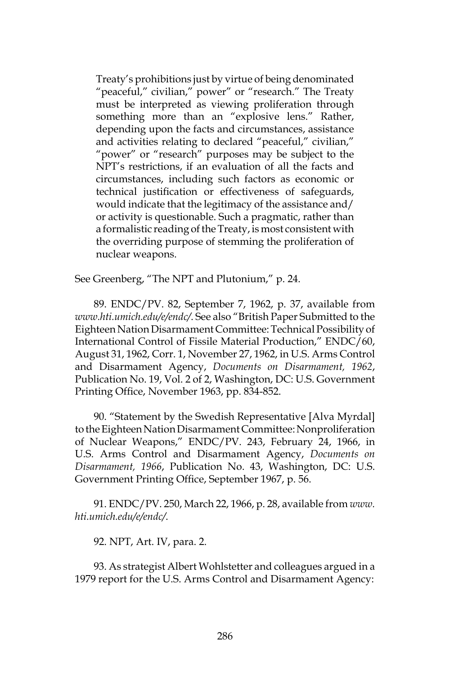Treaty's prohibitions just by virtue of being denominated "peaceful," civilian," power" or "research." The Treaty must be interpreted as viewing proliferation through something more than an "explosive lens." Rather, depending upon the facts and circumstances, assistance and activities relating to declared "peaceful," civilian," "power" or "research" purposes may be subject to the NPT's restrictions, if an evaluation of all the facts and circumstances, including such factors as economic or technical justification or effectiveness of safeguards, would indicate that the legitimacy of the assistance and/ or activity is questionable. Such a pragmatic, rather than a formalistic reading of the Treaty, is most consistent with the overriding purpose of stemming the proliferation of nuclear weapons.

See Greenberg, "The NPT and Plutonium," p. 24.

89. ENDC/PV. 82, September 7, 1962, p. 37, available from *www.hti.umich.edu/e/endc/*. See also "British Paper Submitted to the Eighteen Nation Disarmament Committee: Technical Possibility of International Control of Fissile Material Production," ENDC/60, August 31, 1962, Corr. 1, November 27, 1962, in U.S. Arms Control and Disarmament Agency, *Documents on Disarmament, 1962*, Publication No. 19, Vol. 2 of 2, Washington, DC: U.S. Government Printing Office, November 1963, pp. 834-852.

90. "Statement by the Swedish Representative [Alva Myrdal] to the Eighteen Nation Disarmament Committee: Nonproliferation of Nuclear Weapons," ENDC/PV. 243, February 24, 1966, in U.S. Arms Control and Disarmament Agency, *Documents on Disarmament, 1966*, Publication No. 43, Washington, DC: U.S. Government Printing Office, September 1967, p. 56.

91. ENDC/PV. 250, March 22, 1966, p. 28, available from *www. hti.umich.edu/e/endc/*.

92. NPT, Art. IV, para. 2.

93. As strategist Albert Wohlstetter and colleagues argued in a 1979 report for the U.S. Arms Control and Disarmament Agency: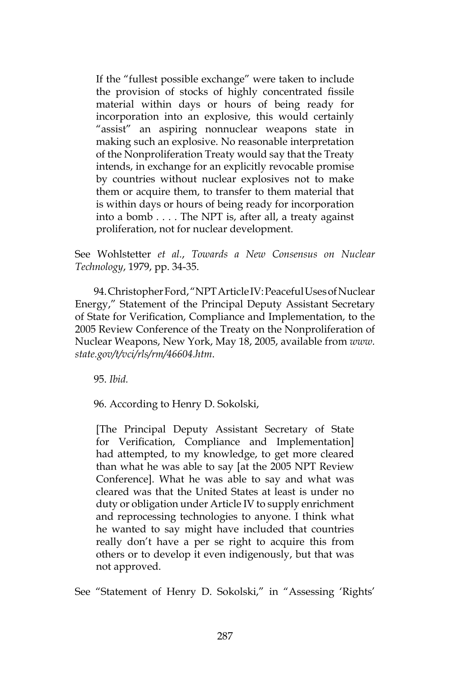If the "fullest possible exchange" were taken to include the provision of stocks of highly concentrated fissile material within days or hours of being ready for incorporation into an explosive, this would certainly "assist" an aspiring nonnuclear weapons state in making such an explosive. No reasonable interpretation of the Nonproliferation Treaty would say that the Treaty intends, in exchange for an explicitly revocable promise by countries without nuclear explosives not to make them or acquire them, to transfer to them material that is within days or hours of being ready for incorporation into a bomb . . . . The NPT is, after all, a treaty against proliferation, not for nuclear development.

See Wohlstetter *et al.*, *Towards a New Consensus on Nuclear Technology*, 1979, pp. 34-35.

94. Christopher Ford, "NPT Article IV: Peaceful Uses of Nuclear Energy," Statement of the Principal Deputy Assistant Secretary of State for Verification, Compliance and Implementation, to the 2005 Review Conference of the Treaty on the Nonproliferation of Nuclear Weapons, New York, May 18, 2005, available from *www. state.gov/t/vci/rls/rm/46604.htm*.

95. *Ibid.*

96. According to Henry D. Sokolski,

[The Principal Deputy Assistant Secretary of State for Verification, Compliance and Implementation] had attempted, to my knowledge, to get more cleared than what he was able to say [at the 2005 NPT Review Conference]. What he was able to say and what was cleared was that the United States at least is under no duty or obligation under Article IV to supply enrichment and reprocessing technologies to anyone. I think what he wanted to say might have included that countries really don't have a per se right to acquire this from others or to develop it even indigenously, but that was not approved.

See "Statement of Henry D. Sokolski," in "Assessing 'Rights'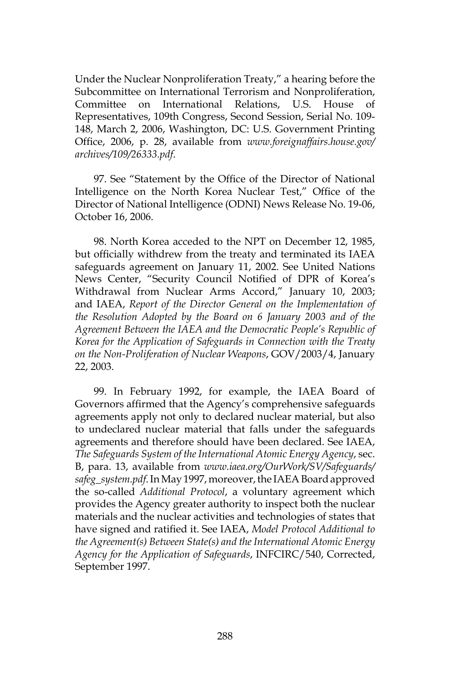Under the Nuclear Nonproliferation Treaty," a hearing before the Subcommittee on International Terrorism and Nonproliferation, Committee on International Relations, U.S. House of Representatives, 109th Congress, Second Session, Serial No. 109- 148, March 2, 2006, Washington, DC: U.S. Government Printing Office, 2006, p. 28, available from *www.foreignaffairs.house.gov/ archives/109/26333.pdf*.

97. See "Statement by the Office of the Director of National Intelligence on the North Korea Nuclear Test," Office of the Director of National Intelligence (ODNI) News Release No. 19-06, October 16, 2006.

98. North Korea acceded to the NPT on December 12, 1985, but officially withdrew from the treaty and terminated its IAEA safeguards agreement on January 11, 2002. See United Nations News Center, "Security Council Notified of DPR of Korea's Withdrawal from Nuclear Arms Accord," January 10, 2003; and IAEA, *Report of the Director General on the Implementation of the Resolution Adopted by the Board on 6 January 2003 and of the Agreement Between the IAEA and the Democratic People's Republic of Korea for the Application of Safeguards in Connection with the Treaty on the Non-Proliferation of Nuclear Weapons*, GOV/2003/4, January 22, 2003.

99. In February 1992, for example, the IAEA Board of Governors affirmed that the Agency's comprehensive safeguards agreements apply not only to declared nuclear material, but also to undeclared nuclear material that falls under the safeguards agreements and therefore should have been declared. See IAEA, *The Safeguards System of the International Atomic Energy Agency*, sec. B, para. 13, available from *www.iaea.org/OurWork/SV/Safeguards/ safeg\_system.pdf*. In May 1997, moreover, the IAEA Board approved the so-called *Additional Protocol*, a voluntary agreement which provides the Agency greater authority to inspect both the nuclear materials and the nuclear activities and technologies of states that have signed and ratified it. See IAEA, *Model Protocol Additional to the Agreement(s) Between State(s) and the International Atomic Energy Agency for the Application of Safeguards*, INFCIRC/540, Corrected, September 1997.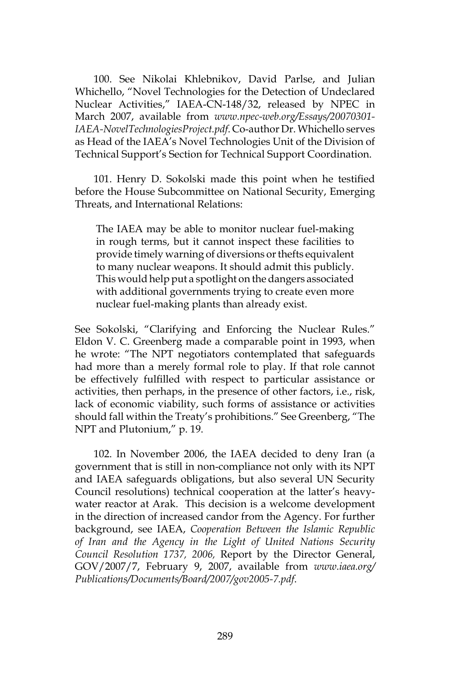100. See Nikolai Khlebnikov, David Parlse, and Julian Whichello, "Novel Technologies for the Detection of Undeclared Nuclear Activities," IAEA-CN-148/32, released by NPEC in March 2007, available from *www.npec-web.org/Essays/20070301- IAEA-NovelTechnologiesProject.pdf*. Co-author Dr. Whichello serves as Head of the IAEA's Novel Technologies Unit of the Division of Technical Support's Section for Technical Support Coordination.

101. Henry D. Sokolski made this point when he testified before the House Subcommittee on National Security, Emerging Threats, and International Relations:

The IAEA may be able to monitor nuclear fuel-making in rough terms, but it cannot inspect these facilities to provide timely warning of diversions or thefts equivalent to many nuclear weapons. It should admit this publicly. This would help put a spotlight on the dangers associated with additional governments trying to create even more nuclear fuel-making plants than already exist.

See Sokolski, "Clarifying and Enforcing the Nuclear Rules." Eldon V. C. Greenberg made a comparable point in 1993, when he wrote: "The NPT negotiators contemplated that safeguards had more than a merely formal role to play. If that role cannot be effectively fulfilled with respect to particular assistance or activities, then perhaps, in the presence of other factors, i.e., risk, lack of economic viability, such forms of assistance or activities should fall within the Treaty's prohibitions." See Greenberg, "The NPT and Plutonium," p. 19.

102. In November 2006, the IAEA decided to deny Iran (a government that is still in non-compliance not only with its NPT and IAEA safeguards obligations, but also several UN Security Council resolutions) technical cooperation at the latter's heavywater reactor at Arak. This decision is a welcome development in the direction of increased candor from the Agency. For further background, see IAEA, *Cooperation Between the Islamic Republic of Iran and the Agency in the Light of United Nations Security Council Resolution 1737, 2006,* Report by the Director General, GOV/2007/7, February 9, 2007, available from *www.iaea.org/ Publications/Documents/Board/2007/gov2005-7.pdf*.